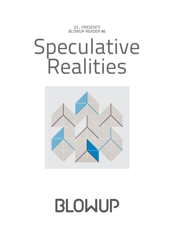V2\_ PRESENTS BLOWUP READER #6

# Speculative Realities



BLOWUP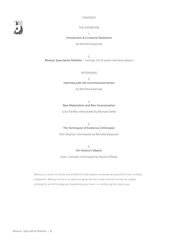#### CONTENTS

THE EXHIBITION

1. **Introduction & Curatorial Statement** by Michelle Kasprzak

2. **Blowup: Speculative Realities** – Concept, list of works and descriptions

INTERVIEWS

3. **Interview with the commissioned artists**

by Michelle Kasprzak

4. **New Materialism and Non-Humanisation**

Jussi Parikka interviewed by Michael Dieter

5. **The Techniques of Existence, Unforeseen**

Rick Dolphijn interviewed by Michelle Kasprzak

6. **Art History's Objects**

Sven Lütticken interviewed by Rachel O'Reilly

Blowup is a series of events and exhibitions that explore contemporary questions from multiple viewpoints. Blowup zooms in on ideas, bringing into focus clear pictures of how art, design, philosophy, and technology are transforming our lives – or reinforcing the status quo.

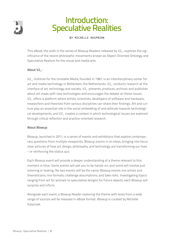

## Introduction: Speculative Realities

BY MICHELLE KASPRZAK

This eBook, the sixth in the series of Blowup Readers released by V2\_, explores the significance of the recent philosophic movements known as Object-Oriented Ontology and Speculative Realism for the visual and media arts.

#### About V2\_:

V2\_, Institute for the Unstable Media, founded in 1981, is an interdisciplinary center for art and media technology in Rotterdam, the Netherlands. V2\_ conducts research at the interface of art, technology and society. V2\_ presents, produces, archives and publishes about art made with new technologies and encourages the debate on these issues. V2\_ offers a platform where artists, scientists, developers of software and hardware, researchers and theorists from various disciplines can share their findings. Art and culture play an essential role in the social embedding of and attitude towards technological developments, and V2\_ creates a context in which technological issues are explored through critical reflection and practice-oriented research.

#### About Blowup:

Blowup, launched in 2011, is a series of events and exhibitions that explore contemporary questions from multiple viewpoints. Blowup zooms in on ideas, bringing into focus clear pictures of how art, design, philosophy, and technology are transforming our lives – or reinforcing the status quo.

Each Blowup event will provide a deeper understanding of a theme relevant to this moment in time. Some events will ask you to be hands-on, and some will involve just listening or looking. No two events will be the same: Blowup events mix artists and theoreticians; mix formats; challenge assumptions; and take risks. Investigating topics ranging from art for animals to speculative designs for future objects, each Blowup will surprise and inform.

Alongside each event, a Blowup Reader exploring the theme with texts from a wide range of sources will be released in eBook format. Blowup is curated by Michelle Kasprzak.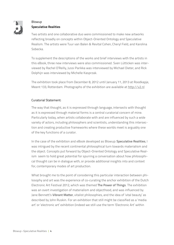

#### Blowup **Speculative Realities**

Two artists and one collaborative duo were commissioned to make new artworks reflecting broadly on concepts within Object-Oriented Ontology and Speculative Realism. The artists were Tuur van Balen & Revital Cohen, Cheryl Field, and Karolina Sobecka.

To supplement the descriptions of the works and brief interviews with the artists in this eBook, three new interviews were also commissioned. Sven Lütticken was interviewed by Rachel O'Reilly, Jussi Parikka was interviewed by Michael Dieter, and Rick Dolphijn was interviewed by Michelle Kasprzak.

The exhibition took place from December 8, 2012 until January 11, 2013 at Roodkapje, Meent 133, Rotterdam. Photographs of the exhibition are available at<http://v2.nl>

#### Curatorial Statement:

The way that thought, as it is expressed through language, intersects with thought as it is expressed through material forms is a central curatorial concern of mine. Particularly today, when artists collaborate with and are influenced by such a wide variety of actors, including philosophers and scientists, understanding this intersection and creating productive frameworks where these worlds meet is arguably one of the key functions of a curator.

In the case of the exhibition and eBook developed as Blowup: **Speculative Realities**, I was intrigued by the recent continental philosophical turn towards materialism and the object. Concepts put forward by Object-Oriented Ontology and Speculative Realism seem to hold great potential for spurring a conversation about how philosophical thought can be in dialogue with, or provide additional insights into and context for, contemporary modes of art production.

What brought me to the point of considering this particular interaction between philosophy and art was the experience of co-curating the anchor exhibition of the Dutch Electronic Art Festival 2012, which was themed **The Power of Things**. The exhibition was an overt investigation of materialism and objecthood, and was influenced by Jane Bennett's **Vibrant Matter**, vitalist philosophies, and the idea of 'vital beauty' as described by John Ruskin. For an exhibition that still might be classified as a 'media art' or 'electronic art' exhibition (indeed we still use the term 'Electronic Art' within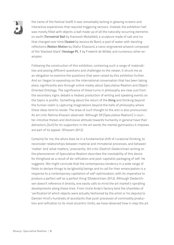

the name of the festival itself) it was remarkably lacking in glowing screens and interactive experiences that required triggering sensors. Instead, the exhibition hall was mostly filled with objects: a ball made up of all the naturally-occurring elements on earth (**Terrestrial Ball** by Kianoosh Motallebi), a sculpture made of salt and ice that changed over time (**Sealed** by Jessica de Boer), a pool of water with dazzling reflections (**Notion Motion** by Olafur Eliasson), a nano-engineered artwork composed of the 'blackest black' (**Hostage Pt. 1** by Frederik de Wilde), and numerous other examples.

Following the construction of this exhibition, containing such a range of materialities and posing different questions and challenges to the viewer, it struck me as an obligation to examine the questions that were raised by this exhibition further. And so I began to eavesdrop on the international conversation that has been taking place, significantly also through online media, about Speculative Realism and Object-Oriented Ontology. The significance of these turns in philosophy are clear just from the secondary signs: debate is heated; production of writing and speaking events on the topics is prolific. Something about the return of the **thing** and thinking beyond the human realm is capturing imaginations beyond the halls of philosophy where these ideas tend to reside. The draw of such thought to the arts is also pronounced. As art critic Rahma Khazam observed: 'Although SR [Speculative Realism] 's counter–intuitive theses and dismissive attitude towards humanity in general have their detractors, [but] for its supporters in the art world, the mental gymnastics it imposes are part of its appeal.' (Khazam 2012).

Certainly for me, the allure does lie in a fundamental shift of curatorial thinking, to reconsider relationships between material and immaterial processes, and between 'matter' and 'what matters,' presciently. Art critic Diedrich Diederichsen writing on the phenomenon of Speculative Realism describes the inevitability of this desire for thinghood as a result of de-reification and post-capitalist packaging of self. He suggests: 'We might conclude that the contemporary tendency in a wide range of fields to declare things to be (ghostly) beings and to call for their emancipation is a response to a contemporary capitalism of self-optimization, with its imperative to produce a perfect self as a perfect thing' (Diederichsen 2012). Although Diederichsen doesn't reference it directly, one easily calls to mind the art market's spiralling developments along these lines. From Uncle Andy's factory (and the shambles of 'verification'of which objects were actually fashioned by the artist or his deputy) to Damien Hirst's hundreds of assistants that push processes of commodity production and reification to its most eccentric limits, we have observed how in step the art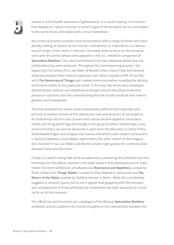

market is with broader processes of globalisation. It is worth bearing in mind then, that despite our radical impulses in some fringes of the art world, we too are subject to the same forces, and tasked with critical imperatives.

My curatorial process involved close conversations with a range of artists who were already looking at notions of non-human-centredness, or materialism, or a democracy of things in their work. In the end, I narrowed down to focus on the conversations with the artists whose work appeared in the V2\_ exhibition component of **Speculative Realities**. Four new commissions from two individual artists and one collaborative duo were produced. Throughout the commissioning process, I dialogued with the artists (Tuur van Balen & Revital Cohen, Cheryl Field, and Karolina Sobecka) and gave them texts (in particular, each artist received a PDF of Levi Bryant's **The Democracy of Things**) and I waited some time before revealing the identity of the other artists to any particular artist. In this way, the works were developed autonomously, without any collaborative dialogue around the actual production process or outcome, with the understanding that the results would be both heterogeneous and unexpected.

The final exhibited four works, while substantially different (and described and pictured in another section of this eBook) also had several points of convergence. A fundamental return to and concern with nature became apparent; mountains, clouds, and living plants figured strongly in the group of works. Interestingly, a wry sense of humour can also be perceived in each work: the absurdity in Cheryl Field's disembodied fingers and tongues; the chance interactions with random landowners in Karolina Sobecka's Cloud Maker experiments; the sheer stretch of the imagination involved in Tuur van Balen and Revital Cohen's night garden for communication between hares and the moon.

Finally, it is worth noting that while we laboured on producing this exhibition and the interviews for this eBook, interest in the wider world in this philosophical turn manifested into other exhibitions simultaneously: **Resonance and Repetition**, curated by Rivet in New York; **Things' Matter**, curated by Klara Manhal in Vancouver; and **The Return of the Object**, curated by Stefanie Hessler in Berlin. What this simultaneity suggests in anyone's guess, but to me it signals that grappling with the concepts and consequences of these philosophical movements has been assumed as a priority for art of this moment.

This eBook has two functions: as a catalogue of the Blowup: **Speculative Realities** exhibition, and as a platform for further thoughts on the intersections between the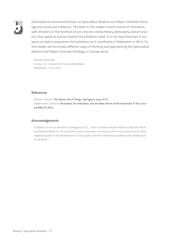

philosophical movements known as Speculative Realism and Object-Oriented Ontology and visual and media art. The texts in this reader consist mainly of interviews, with thinkers on the forefront of art criticism, media theory, philosophy and art practice, that speak to and far beyond the exhibition itself. It is my hope that even if you were not able to experience the exhibition as it manifested in Rotterdam in 2012-13, this reader will illuminate different ways of thinking and approaching the Speculative Realism and Object-Oriented Ontology in a broad sense.

Michelle Kasprzak Curator, V2\_ Institute for the Unstable Media Rotterdam, 11/01/2013

#### References

Khazam, Rahma. **The Secret Life of Things. Springerin, issue 2/12** Diederichsen, Diedrich. **Animation, De-reification, and the New Charm of the Inanimate. E-flux. Journal #36, 07/2012.**

#### Acknowledgements

In addition to all my wonderful colleagues at V2\_, I wish to extend deepest thanks to Michael Dieter and Rachel O'Reilly for not only their incisive interviews included as part of this volume, but for their ongoing support in the development of this project and their intellectual guidance and collaboration on all levels.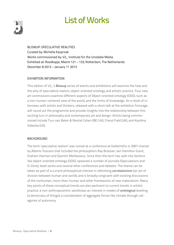## List of Works



Blowup: Speculative Realities Curated by: Michelle Kasprzak Works commissioned by: V2\_ Institute for the Unstable Media Exhibited at: Roodkapje, Meent 121 – 133, Rotterdam, The Netherlands December 8 2012 – January 11 2013

#### Exhibition Information

This edition of V2\_'s **Blowup** series of events and exhibitions will examine the how and the why of speculative realism, object-oriented ontology and artistic practice. Four new art commissions examine different aspects of Object-oriented ontology (OOO), such as a non-human-centered view of the world, and the limits of knowledge. An e-book of interviews with artists and thinkers, released with a short talk at the exhibition finissage, will round out the programme and provide insights into the relationship between this exciting turn in philosophy and contemporary art and design. Artists being commissioned include Tuur van Balen & Revital Cohen (BE/UK), Cheryl Field (UK), and Karolina Sobecka (US).

#### **BACKGROUND**

The term 'speculative realism' was coined at a conference at Goldsmiths in 2007 chaired by Alberto Toscano that included the philosophers Ray Brassier, Iain Hamilton Grant, Graham Harman and Quentin Meillassoux. Since then the term has split into factions like object-oriented ontology (OOO), spawned a number of journals (Speculations and O-Zone), book series and several other conferences and debates. The theme can be taken as part of a current philosophical interest in rethinking **correlationism** (an act of division between human and world), and is broadly congruent with existing discussions of the nonhuman, more-than-human and other frameworks of new materialism. Many key points of these conceptual trends are also pertinent to current trends in artistic practice: a non-anthropocentric worldview; an interest in modes of **ontological** levelling (a democracy of things); a consideration of aggregate forces like climate through categories of autonomy.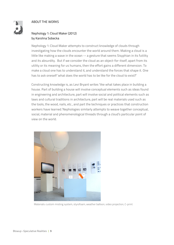#### About the works

#### Nephology 1: Cloud Maker (2012) by Karolina Sobecka

Nephology 1: Cloud Maker attempts to construct knowledge of clouds through investigating how the clouds encounter the world around them. Making a cloud is a little like making a wave in the ocean -- a gesture that seems Sisyphian in its futility and its absurdity. But if we consider the cloud as an object-for-itself, apart from its utility or its meaning for us humans, then the effort gains a different dimension. To make a cloud one has to understand it, and understand the forces that shape it. One has to ask oneself 'what does the world has to be like for the cloud to exist?'

Constructing knowledge is, as Levi Bryant writes 'like what takes place in building a house. Part of building a house will involve conceptual elements such as ideas found in engineering and architecture, part will involve social and political elements such as laws and cultural traditions in architecture, part will be real materials used such as the tools, the wood, nails, etc., and part the techniques or practices that construction workers have learned.'Nephologies similarly attempts to weave together conceptual, social, material and phenomenological threads through a cloud's particular point of view on the world.



Materials: custom misting system, styrofoam, weather balloon, video projection, C-print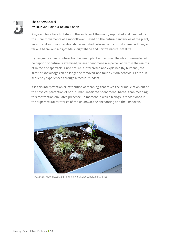

#### The Others (2012) by Tuur van Balen & Revital Cohen

A system for a hare to listen to the surface of the moon, supported and directed by the lunar movements of a moonflower. Based on the natural tendencies of the plant, an artificial symbiotic relationship is initiated between a nocturnal animal with mysterious behaviour, a psychedelic nightshade and Earth's natural satellite.

By designing a poetic interaction between plant and animal, the idea of unmediated perception of nature is examined, where phenomena are perceived within the realms of miracle or spectacle. Once nature is interpreted and explained (by humans), the 'filter' of knowledge can no longer be removed, and fauna / flora behaviours are subsequently experienced through a factual mindset.

It is this interpretation or 'attribution of meaning' that takes the primal elation out of the physical perception of non-human-mediated phenomena. Rather than meaning, this contraption emulates presence - a moment in which biology is repositioned in the supernatural territories of the unknown, the enchanting and the unspoken.



Materials: Moonflower, aluminum, nylon, solar panels, electronics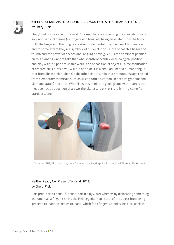

#### (C8H8)n, CSi, KAl2(AlSi3O10)(F,OH)2, C, C, CaSO4, Fe3C, SiH3(OSiH2)nOSiH3 (2012) by Cheryl Field

Cheryl Field writes about the work: 'For me, there is something uncanny about sensory and sensual organs (i.e. fingers and tongues) being dislocated from the body. Both the finger and the tongue are also fundamental to our sense of humanness and to some extent they are symbolic of our evolution i.e. the opposable finger and thumb and the power of speech and language have given us the dominant position on this planet. I want to take that wholly anthropocentric or teleological position and play with it. Specifically, this work is an opposition of objects – a reclassification of ordered structures if you will. On one side it is a simulacrum of a human tongue, cast from life in pink rubber. On the other side is a miniature mountainscape crafted from elementary chemicals such as silicon carbide, carbon (in both its graphite and diamond states) and mica. What links this miniature geology and with - surely the most democratic position of all; we, the planet and e-v-e-r-y-t-h-i-n-g come from stardust alone.'



Materials: EPS, Silicon carbide, Mica, Diamond powder, Graphite, Plaster, Steel, Silicone, Electric motor

#### Neither Ready Nor Present To Hand (2012) by Cheryl Field

Part prop, part fictional-function, part biology, part whimsy; by dislocating something as human as a finger it shifts the Heideggerian tool-state of the object from being 'present-to-hand' to 'ready-to-hand' which for a finger is, frankly, next-to-useless.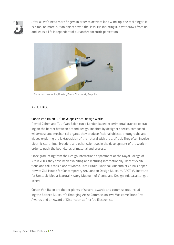

After all we'd need more fingers in order to activate (and wind-up) the tool-finger. It is a tool no more, but an object never-the-less. By liberating it, it withdraws from us and leads a life independent of our anthropocentric perception.



Materials: Jesmonite, Plaster, Brass, Clockwork, Graphite

#### Artist bios

#### Cohen Van Balen (UK) develops critical design works.

Revital Cohen and Tuur Van Balen run a London based experimental practice operating on the border between art and design. Inspired by designer species, composed wilderness and mechanical organs, they produce fictional objects, photographs and videos exploring the juxtaposition of the natural with the artificial. They often involve bioethicists, animal breeders and other scientists in the development of the work in order to push the boundaries of material and process.

Since graduating from the Design Interactions department at the Royal College of Art in 2008, they have been exhibiting and lecturing internationally. Recent exhibitions and talks took place at MoMa, Tate Britain, National Museum of China, Cooper-Hewitt, Z33 House for Contemporary Art, London Design Museum, FACT, V2 Institute for Unstable Media, Natural History Museum of Vienna and Design Indaba, amongst others.

Cohen Van Balen are the recipients of several awards and commissions, including the Science Museum's Emerging Artist Commission, two Wellcome Trust Arts Awards and an Award of Distinction at Prix Ars Electronica.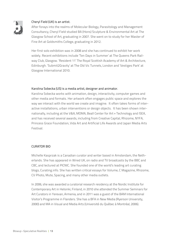

#### Cheryl Field (UK) is an artist.

After forays into the realms of Molecular Biology, Parasitology and Management Consultancy, Cheryl Field studied BA (Hons) Sculpture & Environmental Art at The Glasgow School of Art, graduating in 2007. She went on to study for her Master of Fine Art at Goldsmiths College, graduating in 2012.

Her first solo exhibition was in 2008 and she has continued to exhibit her work widely. Recent exhibitions include 'Ten Days in Summer' at The Queens Park Railway Club, Glasgow. 'Resident 11' The Royal Scottish Academy of Art & Architecture, Edinburgh. 'Submit2Gravity' at The Old Vic Tunnels, London and 'Vestiges Park' at Glasgow International 2010.

#### Karolina Sobecka (US) is a media artist, designer and animator.

Karolina Sobecka works with animation, design, interactivity, computer games and other media and formats. Her artwork often engages public space and explores the way we interact with the world we create and imagine. It often takes forms of interactive installations, urban interventions or design objects. It has been shown internationally, including at the V&A, MOMA, Beall Center for Art + Technology and ISEA, and has received several awards, including from Creative Capital, Rhizome, NYFA, Princess Grace Foundation, Vida Art and Artificial Life Awards and Japan Media Arts Festival.

#### Curator bio

Michelle Kasprzak is a Canadian curator and writer based in Amsterdam, the Netherlands. She has appeared in Wired UK, on radio and TV broadcasts by the BBC and CBC, and lectured at PICNIC. She founded one of the world's leading art curating blogs, Curating.info. She has written critical essays for Volume, C Magazine, Rhizome, CV Photo, Mute, Spacing, and many other media outlets.

In 2006, she was awarded a curatorial research residency at the Nordic Institute for Contemporary Art in Helsinki, Finland, in 2010 she attended the Summer Seminars for Art Curators in Yerevan, Armenia, and in 2011 was a guest of the BAM International Visitor's Programme in Flanders. She has a BFA in New Media (Ryerson University, 2000) and MA in Visual and Media Arts (Université du Québec à Montréal, 2006).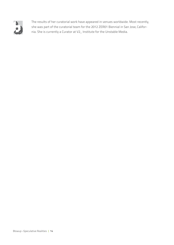

The results of her curatorial work have appeared in venues worldwide. Most recently, she was part of the curatorial team for the 2012 ZER01 Biennial in San Jose, California. She is currently a Curator at V2\_ Institute for the Unstable Media.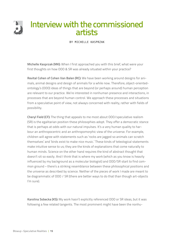

by Michelle Kasprzak

**Michelle Kasprzak (MK):** When I first approached you with this brief, what were your first thoughts on how OOO & SR was already situated within your practice?

**Revital Cohen of Cohen Van Balen (RC):** We have been working around designs for animals, animal designs and design of animals for a while now. Therefore, object-orientedontology's (OOO) ideas of things that are beyond (or perhaps around) human perception are relevant to our practice. We're interested in nonhuman presence and interactions, in processes that are beyond human control. We approach these processes and situations from a speculative point of view, not always concerned with reality, rather with fields of possibility.

**Cheryl Field (CF):** The thing that appeals to me most about OOO/speculative realism (SR) is the egalitarian position these philosophies adopt. They offer a democratic stance that is perhaps at odds with our natural impulses. It's a very human quality to harbour an anthropocentric and an anthropomorphic view of the universe. For example, children will agree with statements such as 'rocks are jagged so animals can scratch themselves' and 'birds exist to make nice music.' These kinds of teleological statements make intuitive sense to us; they are the kinds of explanations that come naturally to human minds. Science on the other hand requires the kind of abstract thought that doesn't sit so easily. And I think that is where my work (which as you know is heavily influenced by my background as a molecular biologist) and OOO/SR start to find common ground – there's a striking resemblance between these philosophical positions and the universe as described by science. Neither of the pieces of work I made are meant to be diagrammatic of OOO / SR (there are better ways to do that than though art-objects I'm sure).

**Karolina Sobecka (KS):** My work hasn't explicitly referenced OOO or SR ideas, but it was following a few related tangents. The most prominent might have been the nonhu-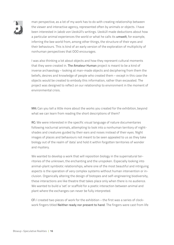

man perspective, as a lot of my work has to do with creating relationship between the viewer and interactive agency, represented often by animals or objects. I have been interested in Jakob von Uexküll's writings. Uexküll made deductions about how a particular animal experiences the world or what he calls its **umwelt**, for example, inferring the bee world from, among other things, the structure of their eyes and their behaviours. This is kind of an early version of the exploration of multiplicity of nonhuman perspectives that OOO encourages.

I was also thinking a lot about objects and how they represent cultural moments that they were created in. **The Amateur Human** project is meant to be a kind of inverse archaeology – looking at man-made objects and deciphering from them the beliefs, desires and knowledge of people who created them – except in this case the objects would be created to embody this information, rather than excavated. The project was designed to reflect on our relationship to environment in the moment of environmental crisis.

**MK:** Can you tell a little more about the works you created for the exhibition, beyond what we can learn from reading the short descriptions of them?

**RC:** We were interested in the specific visual language of nature documentaries following nocturnal animals, attempting to look into a nonhuman territory of nightshades and creatures guided by their ears and noses instead of their eyes. Night images of places and behaviours not meant to be seen appealed to us as they take biology out of the realm of 'data' and hold it within forgotten territories of wonder and mystery.

We wanted to develop a work that will reposition biology in the supernatural territories of the unknown, the enchanting and the unspoken. Especially looking into animal-plant symbiotic relationships, where one of the most beautiful and intriguing aspects is the operation of very complex systems without human intervention or inclusion. Organically altering the design of biotopes and self-engineering biodiversity, these interactions are like theatre that takes place only when there is no audience. We wanted to build a 'set' or scaffold for a poetic interaction between animal and plant where the exchanges can never be fully interpreted.

**CF:** I created two pieces of work for the exhibition – the first was a series of clockwork fingers titled **Neither ready nor present to hand**. The fingers were cast from life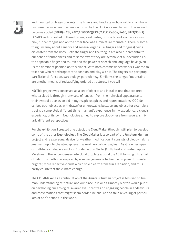

and mounted on brass brackets. The fingers and brackets wobbly wildly, in a wholly un-human way, when they are wound up by the clockwork mechanism. The second piece was titled **(C8H8)n, CSi, KAl2(AlSi3O10)(F,OH)2, C, C, CaSO4, Fe3C, SiH3(OSiH2) nOSiH3** and consisted of three turning steel plates, on one face of each was a cast, pink, rubber tongue and on the other face was a miniature mountain. There is something uncanny about sensory and sensual organs (i.e. fingers and tongues) being dislocated from the body. Both the finger and the tongue are also fundamental to our sense of humanness and to some extent they are symbolic of our evolution i.e. the opposable finger and thumb and the power of speech and language have given us the dominant position on this planet. With both commissioned works, I wanted to take that wholly anthropocentric position and play with it. The fingers are part prop, part fictional-function, part biology, part whimsy. Similarly, the tongue/mountains are another means of reclassifying ordered structures, if you will.

**KS:** This project was conceived as a set of objects and installations that explored what a cloud is through many sets of lenses – from their physical appearance to their symbolic use as an aid in myths, philosophies and representations. OOO describes each object as 'withdrawn' or unknowable, because any object (for example a tree) is a completely different thing in an ant's experience, in my experience, a cloud's experience, or its own. Nephologies aimed to explore cloud-ness from several similarly different perspectives.

For the exhibition, I created one object, the **CloudMaker** (though I still plan to develop some of the other **Nephologies**). The **CloudMaker** is also part of the **Amateur Human** project and is a personal device for weather modification. It consists of cloud-making gear sent up into the atmosphere in a weather-balloon payload. As it reaches specific altitudes it disperses Cloud Condensation Nuclei (CCN), heat and water vapour. Moisture in the air condenses into cloud droplets around the CCN, forming into small clouds. This method is inspired by a geo-engineering technique proposed to create brighter, more reflective clouds which shield earth from sun's radiation, and thus partly counteract the climate change.

The **CloudMaker** as a continuation of the **Amateur human** project is focused on human understanding of 'nature' and our place in it, or as Timothy Morton would put it, on developing our ecological awareness. It centres on engaging people in endeavours and conversations that might seem borderline absurd and thus revealing of particulars of one's actions in the world.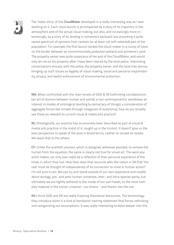

The 'meta-story' of the **CloudMaker** developed in a really interesting way as I was working on it. Each cloud launch is accompanied by a story of its trajectory in the atmosphere and of the actual cloud-making, but also, and increasingly more interestingly, by a story of its landing in someone's backyard and provoking a quite varied spectrum of opinions from random (or at least not self-selected) part of the population. For example, the first launch landed the cloud-maker in a clump of trees on the border between an environmentally protected wetland and someone's yard. The property owner was quite suspicious of me and of the CloudMaker, and would only let me on his property after I have been cleared by the local police. Interesting conversations ensued, with the police, the property owner, and the local tree service, bringing up such issues as legality of cloud-making, social and personal responsibility, privacy, and lawful enforcement of environmental protection.

**MK:** When confronted with the main tenets of OOO & SR (rethinking correlationism (an act of division between human and world); a non-anthropocentric worldview; an interest in modes of ontological levelling (a democracy of things); a consideration of aggregate forces like climate through categories of autonomy), how do you broadly see these as relevant to current visual & media arts practice?

**RC:** Ontologically, our practice has occasionally been described as part of visual & media arts practice; in the midst of it, caught up in the turmoil. It doesn't give us the best perspective to speak of the area in broad terms, neither to situate its tenets. We leave that to the others.

**CF:** Unlike the scientific process, which is designed, wherever possible, to remove the human from the equation, the same is clearly not true for visual art. The work any artist makes can only ever really be a reflection of their personal experience of the times in which they live. How then does that reconcile with the notion in SR that 'the real' must be thought of independently of its connection to mind or human action? I'm not sure it can. We can try and stand outside of our own experience and noodle about ecology; pre- and post-human universes; inter- and intra-species parity, but ultimately we are tightly tethered to the inside of our own heads, to the most complex material in the known universe – our brains – and therein lies the rub.

**KS:** I think OOO and SR are really inspiring theoretical discourses. The terminology they introduce alone is a kind of bombastic naming statement that forces rethinking and reorganizing our assumptions. It was really interesting to delve deeper into this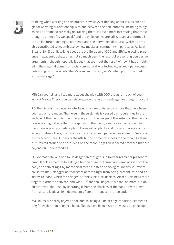

thinking when working on this project. New ways of thinking about issues such as global warming or relationship with and between the non-humans (including things as well as animals) are really revitalizing them. It's even more interesting that those thoughts emerge 'as we speak,' and the philosophies are still shaped and formed in the online forum postings, comments and the networked discourse, which as probably contributed to its embrace by new media art community in particular. As Levi Bryant (2012) put it, talking about the proliferation of OOO and SR: 'its growing presence in academic debates has not so much been the result of presenting persuasive arguments – though hopefully it does that too – but the result of how it has unfolded in the material domain of social communications technologies and open-access publishing. In other words, there's a sense in which, as McLuhan put it, 'the medium is the message.'

**MK:** Can you tell us a little more about the play with OOO thought in each of your works? Maybe Cheryl, you can elaborate on the role of Heideggerian thought for you?

**RC:** The piece is the piece: an interface for a hare to listen to signals that have been bounced off the moon. The noise in these signals is caused by irregularities in the surface of the moon. A moonflower is part of the design of the antenna. The moonflower is a nightshade that corresponds to the moon, aiming as an antenna. The moonflower is a psychedelic plant. Hares eat all plants and flowers. Because of its violent mating rituals, the hare has historically been perceived as a lunatic. 'As crazy as the March Hare.' Lunacy is the attribution of mental illness to the moon. Eastern cultures tell stories of a hare living on the moon, engaged in sacred practices that are beyond our understanding.

**CF:** My most obvious nod to Heideggerian thought is in **Neither ready nor present to hand.** It tickles me that by taking a human finger or thumb and removing it from the body and activating it by mechanical means instead of biological means, it irrevocably shifts the Heideggerian tool-state of that finger from being 'present-to-hand' to 'ready-to-hand' which for a finger is, frankly, next-to-useless. After all, we need more fingers in order to activate (and wind-up) the tool-finger. It is a tool no more, but an object never-the-less. By liberating it from the shackles of the hand, it withdraws from us and leads a life independent of our anthropocentric perception.

**KS:** Clouds are barely objects at all and so, being a kind of edge condition, seemed fitting for exploration of object-hood. Clouds have been historically used as philosophi-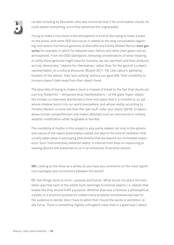

cal aids including by Descartes, who was convinced that if he could explain clouds, he could explain everything, since they epitomize the ungraspable.

Trying to make a tiny cloud in the atmosphere is kind of like trying to make a wave on the ocean, and some OOO discussion is related to the long conversation regarding such poetic/humorous gestures of absurdity and futility (Robert Barry's **Inert gas series** for example, in which he released neon, helium and other inert gases into an atmosphere). From the OOO standpoint, removing considerations of what meaning or utility these gestures might have for humans, we can see them and their products as truly 'democratic,' 'objects-for-themselves,' rather than 'for the gaze of a subject, representation, or a cultural discourse' (Bryant 2011: 19). Like Latour's 'galloping freedom of the zebras,' they 'lack nothing' without our gaze (49). Their invisibility to humans doesn't take away from their object-hood.

The absurdity of trying to make a cloud is instead of linked to the fact that clouds are just tiny 'footprints' – temporary local manifestations – of the giant 'hyper-object,' the climate, so massively distributed in time and space that it is invisible to us, yet whose shadow looms into our world everywhere, and whose reality, according to Timothy Morton, is more real than the 'wet stuff under your boots' (2010). It towers above human comprehension and makes attempts such as commercial or military weather modification either laughable or horrible.

The invisibility of matter in this project is also partly related not only to the ephemeral nature of the object (potentially) created, but also to the kind of mediation that usually takes place in portraying phenomena that are beyond our immediate experience. Such 'instrumentally detected reality' is inferred from blips on measuring or viewing devices and presented to us in an enhanced, illustrative version.

**MK:** Looking at the show as a whole, do you have any comments on the most significant synergies and connections between the works?

**CF:** Two things come to mind – purpose and humor. What struck me about the exhibition was that each of the artists built seemingly functional objects, i.e. objects that looked like they should fulfill a purpose. Whether that was a fictional, a philosophical, a poetic or a practical purpose (or indeed many purposes simultaneously) was for the audience to decide. Also I have to admit that I found the works in exhibition really funny. There is something slightly unhinged (I mean that in a good way!) about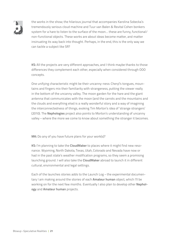

the works in the show; the hilarious journal that accompanies Karolina Sobecka's tremendously serious cloud machine and Tuur van Balen & Revital Cohen bonkers system for a hare to listen to the surface of the moon… these are funny, functional/ non-functional objects. These works are about ideas become matter, and matter insinuating its way back into thought. Perhaps, in the end, this is the only way we can tackle a subject like SR?

**KS:** All the projects are very different approaches, and I think maybe thanks to those differences they complement each other, especially when considered through OOO concepts.

One unifying characteristic might be their uncanny-ness: Cheryl's tongues, mountains and fingers mix their familiarity with strangeness, putting the viewer really in the bottom of the uncanny valley. The moon garden for the hare and the giant antenna that communicates with the moon (and the carrots and the mountains and the clouds and everything else) is a really wonderful story and a way of imagining the interconnectedness of things, evoking Tim Morton's idea of 'strange strangers' (2010). The **Nephologies** project also points to Morton's understanding of uncanny valley – where the more we come to know about something the stranger it becomes.

**MK:** Do any of you have future plans for your work(s)?

**KS:** I'm planning to take the **CloudMaker** to places where it might find new resonance. Wyoming, North Dakota, Texas, Utah, Colorado and Nevada have now or had in the past state's weather modification programs, so they seem a promising launching ground. I will also take the **CloudMaker** abroad to launch it in different cultural, environmental and legal settings.

Each of the launches stories adds to the Launch Log – the experimental documentary I am making around the stories of each **Amateur human** object, which I'll be working on for the next few months. Eventually I also plan to develop other **Nephology** and **Amateur human** projects.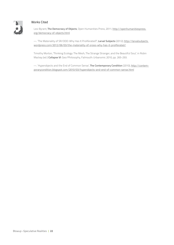

#### Works Cited

Levi Byrant, **The Democracy of Objects**, Open Humanities Press, 2011; [http://openhumanitiespress.](http://openhumanitiespress.org/democracy-of-objects.html) [org/democracy-of-objects.html](http://openhumanitiespress.org/democracy-of-objects.html)

—. 'The Materiality of SR/OOO: Why Has It Proliferated?', **Larval Subjects** (2012); [http://larvalsubjects.](http://larvalsubjects.wordpress.com/2012/06/03/the-materiality-of-srooo-why-has-it-proliferated/) [wordpress.com/2012/06/03/the-materiality-of-srooo-why-has-it-proliferated/](http://larvalsubjects.wordpress.com/2012/06/03/the-materiality-of-srooo-why-has-it-proliferated/)

Timothy Morton, 'Thinking Ecology: The Mesh, The Strange Stranger, and the Beautiful Soul,' in Robin Mackay (ed.) **Collapse VI**: Geo/Philosophy, Falmouth: Urbanomic 2010, pp. 265-293.

—. 'Hyperobjects and the End of Common Sense', **The Contemporary Condition** (2010), [http://contem](http://contemporarycondition.blogspot.com/2010/03/hyperobjects-and-end-of-common-sense.html )[porarycondition.blogspot.com/2010/03/hyperobjects-and-end-of-common-sense.html](http://contemporarycondition.blogspot.com/2010/03/hyperobjects-and-end-of-common-sense.html )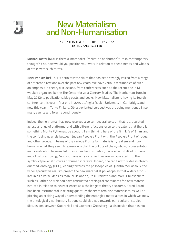

### New Materialism and Non-Humanisation

#### AN INTERVIEW WITH JUSSI PARIKKA by Michael Dieter

**Michael Dieter (MD):** Is there a 'materialist', 'realist' or 'nonhuman' turn in contemporary thought? If so, how would you position your work in relation to these trends and what is at stake with such terms?

**Jussi Parikka (JP):** This is definitely the claim that has been strongly voiced from a range of different directions over the past few years. We have various testimonies of such an emphasis in theory discussions, from conferences such as the recent one in Milwaukee organized by the The Center for 21st Century Studies (The Nonhuman Turn, in May 2012) to publications, blog posts and books. New Materialism is having its fourth conference this year – first one in 2010 at Anglia Ruskin University in Cambridge, and now this year in Turku Finland. Object-oriented perspectives are being mentioned in so many events and forums continuously.

Indeed, the nonhuman has now received a voice – several voices – that is articulated across a range of platforms, and with different factions even to the extent that there is something Monty Pythonesque about it. I am thinking here of the film **Life of Brian**, and the confusing quarrels between Judean People's Front with the People's Front of Judea, and other groups. In terms of the various Fronts for materialism, realism and nonhumans, what they seem to agree on is that the politics of the symbolic, representation and signification have ended up in a dead-end situation, being able to talk of humans and of nature/Ecology/non-humans only as far as they are incorporated into the symbolic/power structures of human interests. Indeed, one can find this idea in objectoriented-ontology (OOO), leaning towards the philosophies of Quentin Meillassoux, the wider speculative realism project, the new materialist philosophies that widely articulate in as diverse ideas as Manuel Delanda's, Rosi Braidotti's and more. Philosophers such as Catherine Malabou have articulated ontological coordinates for 'new materialism' too in relation to neurosciences as a challenge to theory discourse. Kared Barad has been instrumental in relating quantum theory to feminist materialism, as well as pitching an exciting way of understanding the entangled materialities in which we know the ontologically nonhuman. But one could also nod towards early cultural studies discussions between Stuart Hall and Lawrence Grossberg – a discussion that has not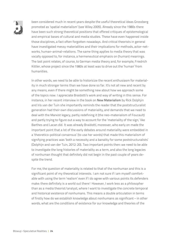

been considered much in recent years despite the useful theoretical ideas Grossberg promoted as 'spatial materialism' (see Wiley 2005). Already since the 1980s there have been such strong theoretical positions that offered critiques of epistemological and empirical bases of cultural and media studies. These have even happened inside those disciplines, a fact often forgotten nowadays. And critical theorists in general have investigated messy materialities and their implications for methods, actor-networks, human-animal-relations. The same thing applies to media theory that was vocally opposed to, for instance, a hermeneutical emphasis on (human) meanings. The last point relates, of course, to German media theory and, for example, Friedrich Kittler, whose project since the 1980s at least was to drive out the 'human' from humanities.

In other words, we need to be able to historicize the recent enthusiasm for materiality in much stronger terms than we have done so far. It's not all new and recent by any means, even if there might be something new about how we approach some of the topics now. I appreciate Braidotti's work and way of writing in this sense. For instance, in her recent interview in the book on **New Materialism** by Rick Dolphjin and Iris van der Tuin she importantly reminds the reader that the poststructuralist generation had their own discussions of materiality, and demands that we need to deal with the Marxist legacy, partly redefining it (the neo-materialism of Foucault) and partly trying to figure out a way to account for the 'materiality of the sign,' like Barthes and Lacan did. It was already Braidotti, moreover, who early on made the important point that a lot of the early debates around materiality were embedded in a 'theoretico-political consensus' (to use her words) that made this materialism of signifying practices was 'both a necessity and a banality for some poststructuralists' (Dolphijn and van der Tuin, 2012: 20). Two important points then: we need to be able to investigate the long histories of materiality as a term, and also the long legacies of nonhuman thought that definitely did not begin in the past couple of years despite the trend.

For me, the question of materiality is related to that of the nonhuman and this is a significant point of my theoretical interests. I am not sure if I am myself comfortable with using the term 'realism' even if I do agree with various points its defenders make: there definitely is a world out there! However, I work less as a philosopher than as a media theorist/analyst, where I want to investigate the concrete temporal and historical existence of nonhumans. This means a double articulation in terms of firstly how do we establish knowledge about nonhumans as significant – in other words, what are the conditions of existence for our knowledge and theories of the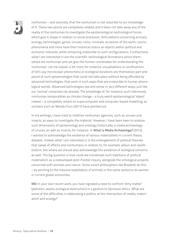

nonhuman – and secondly, that the nonhuman is not reducible to our knowledge of it. These two points are completely related, and it does not take away any of the reality of the nonhuman to investigate the epistemological-technological forces which give it shape in relation to social processes. Articulations concerning animals, ecology, technologies, genes, viruses, rocks, minerals, durations of the earth, cosmic phenomena and more have their historical status as objects within political and economic interests, while remaining irreducible to such configurations. Furthermore, what I am interested in are the scientific-technological formations which themselves are nonhuman and yet give the human coordinates for understanding the nonhuman. Let me explain a bit more: for instance, visualisations or sonifications of let's say microscopic phenomena or ecological durations are themselves part and parcel of such epistemologies that could not take place without being afforded by advanced technologies, that work in such ways that are irreducible to human phonological worlds. Advanced technologies see and sense in very different ways, just like our 'normal' computers do already. The knowledge of, for instance, such intensively nonhuman temporalities as climate change – a truly weird epistemological 'object' indeed – is completely reliant on supercomputer and computer-based modelling, as scholars such as Wendy Chun (2011) have pointed out.

In my writings, I have tried to mobilize nonhuman agencies, such as viruses and insects, as ways to investigate the material. However, I have been keen to analyse such dimensions of epistemology and ontology historically; a media archaeology of viruses, as well as insects, for instance. In **What is Media Archaeology?** (2012), I wanted to acknowledge the existence of various materialities in current theory debates. Indeed, what I am interested in is the entanglement of political theories that speak of affects and nonhumans in relation to, for example, labour and neoliberalism, but where we should also acknowledge the existence of ecological concerns as well. The big question is how could we crossbreed such traditions of political materialism as a redeveloped post-Fordist inquiry, alongside the ontological projects concerned with animals and nature. Some smart philosophers like Braidotti do this – by pointing to the massive exploitation of animals in the same sentence as women in current global economies.

**MD:** In your own recent work, you have signaled a need to confront 'dirty matter' (pollution, waste, ecological destruction) in a gesture to Spinozan ethics. What are some of the difficulties in elaborating a politics at the intersection of media, materialism and ecology?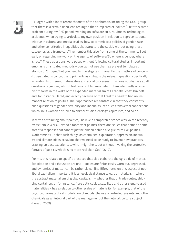

**JP:** I agree with a lot of recent theorists of the nonhuman, including the OOO-group, that there is a certain dead-end feeling to the trump card of 'politics.' I felt this same problem during my PhD period (working on software culture, viruses, technological accidents) when trying to articulate my own position in relation to representational critique in cultural and media studies: how to commit to a politics of gender, race, and other constitutive inequalities that structure the social, without using these categories as a trump card? I remember this also from some of the comments I got early on regarding my work on the agency of software: 'So where is gender, where is race?' These questions were posed without following cultural studies' important emphasis on situated methods – you cannot use them as pre-set templates or stamps of 'Critique,' but you need to investigate immanently the 'matters of concern' (to use Latour's concept) and primarily ask what is the relevant question specifically in relation to different materialities and social processes. This does not dismiss at all questions of gender, which I feel reluctant to leave behind. I am adamantly a feminist theorist in the wake of the expanded materialism of Elizabeth Grosz, Braidotti and, for instance, Barad, and exactly because of that I feel the need to find an immanent relation to politics. Their approaches are fantastic in that they constantly push questions of gender, sexuality and inequality into such transversal connections which links women's studies to animal studies, ecology, capitalism, and so on.

In terms of thinking about politics, I believe a comparable stance was voiced recently by McKenzie Wark. Beyond a fantasy of politics, there are issues that demand some sort of a response that cannot just be hidden behind a vague term like 'politics.' Wark reminds us that such things as capitalism, exploitation, oppression, inequality and climate crises exist, but that we need to be ready to 'invent new practices, drawing on past experiences, which might help, but without invoking the protective fantasy of politics, which is no more real than God' (2012).

For me, this relates to specific practices that also elaborate the ugly side of matter. Exploitation and exhaustion are one – bodies are finite, easily worn out, depressed, and dynamics of matter can be rather slow. I find Bifo's notes on this aspect of neoliberal capitalism important. It is an ecological stance towards materialism, where the abstract materialism of global capitalism – whether that of trade routes, shipping containers or, for instance, fibre optic cables, satellites and other signal-based materialities – has a relation to other scales of materiality, for example, that of the psycho-pharmaceutical modulation of moods: the use of anti-depressants and other chemicals as an integral part of the management of the network culture subject (Berardi 2009).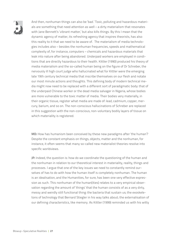

And then, nonhuman things can also be 'bad.' Toxic, polluting and hazardous materials are something that need attention as well – a dirty materialism that resonates with Jane Bennett's 'vibrant matter,' but also kills things. By this I mean that the dynamic agency of matter, its refreshing agency that inspires theorists, has also this reality to it that we need to be aware of. The materialism of media technologies includes also – besides the nonhuman frequencies, speeds and mathematical complexity of, for instance, computers – chemicals and hazardous materials that leak into nature after being abandoned. Underpaid workers are employed in conditions that are directly hazardous to their health. Kittler (1990) produced his theory of media materialism and the so-called human being on the figure of Dr Schreber, the nervously ill high court judge who hallucinated what for Kittler were the emerging late 19th century technical media that inscribe themselves on our flesh and notate our most minute actions and thoughts. This defining body of modern technical media might now need to be replaced with a different sort of paradigmatic body: that of the underpaid Chinese worker or the dead media salvager in Nigeria, whose bodies are more vulnerable to the toxic matter of media. Their bodies very materially, in their organic tissue, register what media are made of: lead, cadmium, copper, mercury, barium, and so on. The non-conscious hallucinations of Schreber are replaced in this suggestion with the non-conscious, non-voluntary bodily layers of tissue on which materiality is registered.

**MD:** How has humanism been conceived by these new paradigms after 'the human'? Despite the constant emphasis on things, objects, matter and the nonhuman, for instance, it often seems that many so-called new materialist theories resolve into specific worldviews.

**JP:** Indeed, the question is: how do we coordinate the questioning of the human and the nonhuman in relation to our theoretical interest in materiality, reality, things and processes. I argue that one of the key issues we need to constantly remind ourselves of has to do with how the human itself is completely nonhuman. The human is an idealisation, and the Humanities, for sure, has been one very effective expression as such. This nonhuman of the human(ities) relates to a very empirical observation regarding the amount of 'things' that the human consists of as a very dirty, messy and weirdly still functional thing: the bacteria that sustain us; the exoskeletons of technology that Bernard Stiegler in his way talks about; the externalisation of our defining characteristics, like memory. As Kittler (1999) reminded us with his witty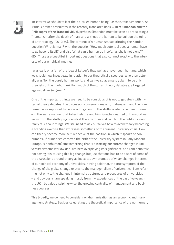

little term: we should talk of the 'so-called human being.' Or then, take Simondon. As Muriel Combes articulates in the recently translated book **Gilbert Simondon and the Philosophy of the Transindividual**, perhaps Simondon must be seen as articulating a ''humanism after the death of man' and without the human to be built on the ruins of anthropology' (2012: 50). She continues: 'A humanism substituting the Kantian question 'What is man?' with the question 'How much potential does a human have to go beyond itself?' and also 'What can a human do insofar as she is not alone?'' (50). Those are beautiful, important questions that also connect exactly to the interests of our empirical inquiries.

I was early on a fan of the idea of Latour's that we have never been humans, which we should now investigate in relation to our theoretical discourses: who then actually was 'for' the purely human world, and can we so adamantly claim to be only theorists of the nonhuman? How much of the current theory debates are targeted against straw (wo)men?

One of the important things we need to be conscious of is not to get stuck with internal theory debates. The discussion concerning realism, materialism and the nonhuman was supposed to be a way to get out of the stuffy academic seminar rooms – in the same manner that Gilles Deleuze and Félix Guattari wanted to transport us away from the stuffy psychoanalyst therapy room and couch to the outdoors – and really talk about **things**. We still need to ask ourselves how to avoid theory becoming a branding exercise that expresses something of the current university crisis. How can theory become more self-reflective of the position in which it speaks of nonhumans? If humanism escorted the birth of the university system in Early Modern Europe, is nonhuman(ism) something that is escorting our current changes in university systems worldwide? I am here overplaying its significance, and I am definitely not saying it is causing this big change, but just that one has to be aware of some of the discussions around theory as indexical, symptomatic of wider changes in terms of our political economy of universities. Having said that, the true symptom of the change of the global change relates to the managerialism of universities. I am referring not only to the changes in internal structures and procedures of universities – and obviously I am speaking mostly from my experiences of the past five years in the UK – but also discipline-wise, the growing centrality of management and business courses.

This broadly, we do need to consider non-humanisation as an economic and management strategy. Besides celebrating the theoretical importance of the nonhuman,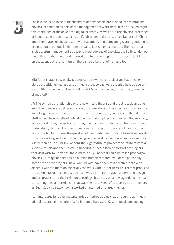

I believe we need to be quite observant of how people are pushed into mental and physical exhaustion as part of the management of work, both in the so-called cognitive capitalism of the developed digital economy, as well as in the physical processes of labour exploitation on which our life often depends: outsourced factories in China and other places of cheap labour with hazardous and demeaning working conditions, exploitation of various kinds from sexual to just sheer exhaustion. The nonhuman is also a grim management strategy, a methodology of exploitation. By this, I do not mean that nonhuman theories contribute to this, or neglect this aspect – just that on the agenda of the nonhuman there should be a lot of humans too.

**MD:** Artistic practice was always central to new media studies; you have also explored practitioner-led aspects of media archaeology. As a theorist, how do you engage with and conceptualize artistic work? Does this involve, for instance, questions of method?

**JP:** The symbiotic relationship of the new media theorist and artist is a bizarre one and other people are better in tracking the genealogy of this specific constellation of knowledge. 'You do great stuff, so I can write about them, and you can then do more stuff under the umbrella of critical practice that employs my theories.' But seriously, artistic work is a good vector for thought; and in relation to the nonhuman and new materialism, I find a lot of practitioners more interesting 'theorists' than the ones who write books. For me, the question of new materialism has to do with sensitivity towards working with/in matter: biological media, dirty hardware practices such as Microresearch Lab (Berlin/London), the Algorhythmics project of Shintaro Miyazaki, Weise 7-studio and the Critical Engineering-bunch, different sorts of art projects that deal with, for instance, the climate, as well as what could be called psychogeophysics – a range of phenomena outside human temporality. For me personally, some of the best projects I have worked with have been collaborative ideas with artists. I want to mention especially the work with Garnet Hertz (2012) that produced the Zombie Media text, but which itself was a shift in the way I understand design and art practice and their relation to ecology. It opened up a new agenda in my head concerning media materialism that was then catalysed, of course, by such theorists as Sean Cubitt, already having worked on ecomedia-related themes.

I am interested in rather material artistic methodologies that through rough methods take a stance in relation to, for instance, hardware. Several media archaeologi-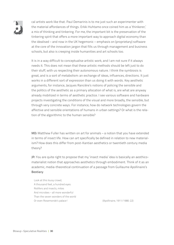

cal artists work like that. Paul Demarinis is to me just such an experimenter with the material affordances of things. Erkki Huhtamo once coined him as a 'thinkerer,' a mix of thinking and tinkering. For me, the important bit is the preservation of the tinkering spirit that offers a more important way to approach digital economy than the idealised – and now in the UK hegemonic – emphasis on (proprietary) software at the core of the innovation jargon that fills us through management and business schools, but also is creeping inside humanities and art schools too.

It is in a way difficult to conceptualise artistic work, and I am not sure if it always needs it. This does not mean that these artistic methods should be left just to do their stuff, with us respecting their autonomous nature. I think the symbiosis is great, and is a sort of metabolism: an exchange of ideas, influences, directions. It just works in a different sort of expression than us doing it with words. Key aesthetic arguments, for instance, Jacques Rancière's notions of policing the sensible and the politics of the aesthetic as a primary allocation of what is, are what are anyway already mobilized in terms of aesthetic practice. I see various software and hardware projects investigating the conditions of the visual and more broadly, the sensible, but through very concrete ways. For instance, how do network technologies govern the affective and sensible orientations of humans in urban settings? Or what is the relation of the algorithmic to the human sensible?

**MD:** Matthew Fuller has written on art for animals – a notion that you have extended in terms of insect life. How can art specifically be defined in relation to new materialism? How does this differ from post-Kantian aesthetics or twentieth century media theory?

**JP:** You are quite right to propose that my 'insect media' idea is basically an aesthicomaterialist notion that approaches aesthetics through embodiment. Think of it as an academic, media-theoretical continuation of a passage from Guillaume Apollinaire's **Bestiary**:

Look at this lousy crowd, A thousand feet, a hundred eyes: Rotifers and insects, mites And microbes – all more wonderful Than the seven wonders of the world Or even Rosemonde's palace! (Apollinaire, 1911/1980: 22)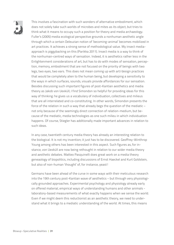

This involves a fascination with such wonders of alternative embodiment, which does not solely take such worlds of microbes and mites as its object, but tries to think what it means to occupy such a position for theory and media archaeology. Fuller's (2005) media ecological perspective grounds a nonhuman aesthetic angle through which a certain Deleuzian notion of 'becoming-animal' becomes mobilized in art practices. It achieves a strong sense of methodological value. My insect mediaapproach is piggybacking on this (Parikka 2011). Insect media is a way to think of the nonhuman-centred ways of sensation. Indeed, it is aesthetics rather less in the Enlightenment considerations of art, but has to do with modes of sensation, perception, memory, embodiment that are not focused on the priority of beings with two legs, two eyes, two ears. This does not mean coming up with art/design practices that would be completely alien to the human being, but developing a sensitivity to the ways in which surfaces, sounds, visuals provide affordances for our sensation. Besides discussing such important figures of post-Kantian aesthetics and media theory as Jakob von Uexküll, I find Simondon so helpful for providing ideas for this way of thinking: he gives us a vocabulary of individuation, collectives and milieus that are all interrelated and co-constituting. In other words, Simondon presents the force of the relation in such a way that already begs the question of the mediatic – not only because of the seemingly direct connection of relation-medium, but because of the mediatic, media technologies as one such milieu in which individuation happens. Of course, Stiegler has additionally made important advances in relation to such ideas.

In any case, twentieth century media theory has already an interesting relation to the biological. It is not my invention; it just has to be discovered. Geoffrey-Winthrop Young among others has been interested in this aspect. Such figures as, for instance, von Uexküll are now being rethought in relation to our wider media theory and aesthetic debates. Matteo Pasquinelli does great work on a media theory geneaology of biopolitics, including discussions of Ernst Haeckel and Kurt Goldstein, but also of non-human 'thought' of, for instance, yeast!

Germans have been ahead of the curve in some ways with their meticulous research into the 19th century post-Kantian wave of aesthetics – but through very physiologically grounded approaches. Experimental psychology and physiology already early on offered material, empirical ways of understanding humans and other animals laboratory-based measurements of what exactly happens when we sense the world. Even if we might deem this reductionist as an aesthetic theory, we need to understand what it brings to a mediatic understanding of the world. At times, this means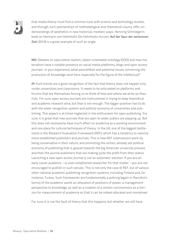

that media theory must find a common tune with science and technology studies, and through such partnerships of methodological and theoretical inquiry, offer understandings of aesthetics in new historical, mediatic ways. Henning Schmidgen's book on Hermann von Helmholtz Die Helmholtz-Kurven: **Auf der Spur der verlorenen Zeit** (2010) is a great example of such an angle.

**MD:** Debates on speculative realism, object-orientated-ontology (OOO) and new materialism have a notable presence on social media platforms, blogs and open access journals. In your experience, what possibilities and potential issues concerning the production of knowledge exist here, especially for the figure of the intellectual?

**JP:** Such trends are a good recognition of the fact that theory does not happen only inside universities and classrooms. It needs to be articulated on platforms and forums that are themselves forcing us to think of how and where we write as theorists. For sure, open access journals are instrumental in trying to keep theoretical and academic research alive, but that is not enough. The bigger question has to do with the wider recognition system and political economy of universities and publishing. This aspect is at times neglected in the enthusiasm for open publishing. For sure, it is great that new journals that are open to wider publics are popping up. But this does not necessarily have much effect on academia as a working environment and one place for cultural techniques of theory. In the UK, one of the biggest bottlenecks is the Research Evaluation Framework (REF), which has a tendency to valorize more established publishers and journals. This is how REF submissions work: by being conservative in their nature, and promoting the certain, already set political economy of publishing that is geared towards the big American university presses and then the journal publishers that are making quite the profit from their status. Launching a new open access journal is not an automatic solution. If you are an early career academic – or even established researcher for that matter – you are not encouraged to publish in such venues. This is not only the case of REF, but of various other national academic publishing recognition systems, including Finland and, for instance, Turkey. Such frameworks are fundamentally a policing (again in Rancière's terms) of the academic world: an allocation of positions of power, a management perspective to knowledge, as well as a creation of a certain commonness as a horizon for measurement of academia so that it can be indeed allocated and monetised.

For sure, it is not the fault of theory that this happens, but whether we still have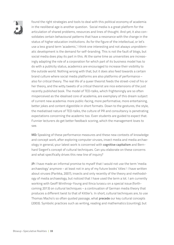

found the right strategies and tools to deal with this political economy of academia in the neoliberal age is another question. Social media is a great platform for the articulation of shared problems, resources and lines of thought. And yet, it also consolidates certain behavioural patterns that have a resonance with the change in the status of higher education institutions. As for the figure of the intellectual, or let's use a less grand term 'academic,' I think one interesting and not always unproblematic development is the demand for self-branding. This is not the fault of blogs, but social media does play its part in this. At the same time as universities are increasingly adapting the role of a corporation for which part of its business model has to do with a publicity status, academics are encouraged to increase their visibility to the outside world. Nothing wrong with that, but it does also feed towards a certain brand culture where social media platforms are also platforms of performance – also for critical theory. The real life of a queer theorist feeds the street-cred of his or her theory, and the witty tweets of a critical theorist are nice extensions of the just recently published book. The model of TED-talks, which frighteningly are so often misperceived as the idealised core of academia, are exemplary of this dream subject of current new academia: more public-facing, more performative, more entertaining, better jokes and content digestible in short formats. Down to the gestures, the style, the mediatised nature of TED-talks, the culture of PR and consultancy is penetrating expectations concerning the academic too. Even students are guided to expect that. Funnier lecturers do get better feedback scoring, which the management loves to see.

**MD:** Speaking of these performance measures and these new contexts of knowledge and concept work, after exploring computer viruses, insect media and media archaeology in general, your latest work is concerned with **cognitive capitalism** and Bernhard Siegert's concept of cultural techniques. Can you elaborate on these concerns and what specifically drives this new line of inquiry?

**JP:** I have made an informal promise to myself that I would not use the term 'media archaeology' anymore – at least not in any of my future books' titles! I have written about viruses (Parikka, 2007), insects and only recently of the theory and methodology of media archaeology, but noticed that I have used the term a lot. I am currently working with Geoff Winthrop-Young and Ilinca Iurascu on a special issue (forthcoming 2013) on cultural techniques – a continuation of German media theory that produces a different twist to that of Kittler's. In short, cultural techniques are, to use Thomas Macho's so often quoted passage, what **precede** our key cultural concepts (2003). Symbolic practices such as writing, reading and mathematics (counting), but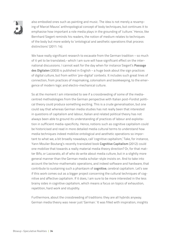

also embodied ones such as painting and music. The idea is not merely a revamping of Marcel Mauss' anthropological concept of body techniques, but continues it to emphasise how important a role media plays in the grounding of 'culture.' Hence, like Bernhard Siegert reminds his readers, the notion of medium relates to techniques of the body but more widely to 'ontological and aesthetic operations that process distinctions' (2011: 14).

We have really significant research to excavate from the German tradition – so much of it yet to be translated,– which I am sure will have significant effect on the international discussions. I cannot wait for the day when for instance Siegert's **Passage des Digitalen** (2003) is published in English – a huge book about the sign practices of digital culture, but from within 'pre-digital' contexts. It includes such great lines of connection, from practices of mapmaking, colonialism and bookkeeping, to the emergence of modern logic and electro-mechanical culture.

So at the moment I am interested to see if a crossbreeding of some of the mediacentred methodologies from the German perspective with Italian post-Fordist political theory could produce something exciting. This is a crude generalisation, but one could say that whereas German media studies has not really been that interested in questions of capitalism and labour, Italian and related political theory has not always been able to ground its understanding of practices of labour and exploitation in sufficient media-specificity. Hence, notions such as cognitive capitalism could be historicised and read in more detailed media cultural terms to understand how media techniques indeed mobilize ontological and aesthetic operations so important to what we, a bit broadly nowadays, call 'cognitive capitalism,' Take, for instance, Yann Moulier Boutang's recently translated book **Cognitive Capitalism** (2012): could one mobilize that towards a really material media theory direction? Or, for that matter Bifo, or Lazzarato, all of who do write about media culture, but in a slightly more general manner than the German media scholar-style insists on. And to take into account the techno-mathematic operations, and indeed software and hardware, that contribute to sustaining such a phantasm of **cognitive**, cerebral capitalism. Let's see if this work comes out as a bigger project concerning the cultural techniques of cognitive and affective capitalism. If it does, I am sure to be more interested in the less brainy sides in cognitive capitalism, which means a focus on topics of exhaustion, repetition, hard work and stupidity.

Furthermore, about the crossbreeding of traditions: they are all hybrids anyway. German media theory was never just 'German.' It was filled with inspiration, insights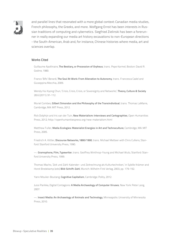

and parallel lines that resonated with a more global context: Canadian media studies, French philosophy, the Greeks, and more. Wolfgang Ernst has been interests in Russian traditions of computing and cybernetics. Siegfried Zielinski has been a forerunner in really expanding our media art history excavations to non-European directions - the South-American, Arab and, for instance, Chinese histories where media, art and sciences overlap.

#### Works Cited

Guillaume Apollinaire, **The Bestiary, or Procession of Orpheus**, trans. Pepe Karmel, Boston: David R. Godine, 1980.

Franco 'Bifo' Berardi, **The Soul At Work: From Alienation to Autonomy**, trans. Francesca Cadel and Giuseppina Mecchia, 2009.

Wendy Hui Kyong Chun, 'Crisis, Crisis, Crisis, or Sovereignty and Networks', **Theory, Culture & Society** 28.6 (2011): 91-112.

Muriel Combes, **Gilbert Simondon and the Philosophy of the Transindividual**, trans. Thomas LaMarre, Cambridge, MA: MIT Press, 2012.

Rick Dolphijn and Iris van der Tuin, **New Materialism: Interviews and Cartographies**, Open Humanities Press, 2012; http://openhumanitiespress.org/new-materialism.html

Matthew Fuller, **Media Ecologies: Materialist Energies in Art and Technoculture**, Cambridge, MA: MIT Press, 2005.

Friedrich A. Kittler, **Discourse Networks, 1800/1900**, trans. Michael Metteer with Chris Cullens, Stanford: Stanford University Press, 1990.

—. **Gramophone, Film, Typewriter**, trans. Geoffrey Winthrop-Young and Michael Wutz, Stanford: Stanford University Press, 1999.

Thomas Macho, 'Zeit und Zahl: Kalender- und Zeitrechnung als Kulturtechniken,' in Sybille Krämer and Horst Bredekamp (eds) **Bild-Schrift-Zahl**, Munich: Wilhelm Fink Verlag, 2003, pp. 179–192.

Yann Moulier-Boutang, **Cognitive Capitalism**, Cambridge: Polity, 2012.

Jussi Parikka, Digital Contagions: **A Media Archaeology of Computer Viruses**, New York: Peter Lang, 2007.

—. **Insect Media: An Archaeology of Animals and Technology**, Minneapolis: University of Minnesota Press, 2010.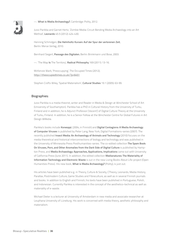

—. **What is Media Archaeology?**, Cambridge: Polity, 2012.

Jussi Parikka and Garnet Hertz, 'Zombie Media: Circuit Bending Media Archaeology into an Art Method', **Leonardo** 45.5 (2012): 424-430.

Henning Schmidgen, **Die Helmholtz Kurven: Auf der Spur der verlorenen Zeit**, Berlin: Merve Verlag, 2010.

Bernhard Siegert, **Passage des Digitalen**, Berlin: Brinkmann und Bose, 2003.

—. 'The Map **Is** The Territory', **Radical Philosophy** 169 (2011): 13-16.

McKenzie Wark, 'Preoccupying', The Occupied Times (2012), <http://theoccupiedtimes.co.uk/?p=6451>

Stephen Crofts Wiley, 'Spatial Materialism', **Cultural Studies** 19.1 (2005): 63-99.

#### Biographies:

Jussi Parikka is a media theorist, writer and Reader in Media & Design at Winchester School of Art (University of Southampton). Parikka has a PhD in Cultural History from the University of Turku, Finland and in addition, he is Adjunct Professor ('docent') of Digital Culture Theory at the University of Turku, Finland. In addition, he is a Senior Fellow at the Winchester Centre for Global Futures in Art Design &Media.

Parikka's books include **Koneoppi**, (2004, in Finnish) and **Digital Contagions: A Media Archaeology of Computer Viruses** is published by Peter Lang, New York, Digital Formations-series (2007). The recently published **Insect Media: An Archaeology of Animals and Technology** (2010) focuses on the media theoretical and historical interconnections of biology and technology and was published in the University of Minnesota Press Posthumanities-series. The co-edited collection **The Spam Book: On Viruses, Porn, and Other Anomalies from the Dark Side of Digital Culture** is published by Hampton Press, and **Media Archaeology: Approaches, Applications, Implications** came out with University of California Press (June 2011). In addition, the edited collection **Medianatures: The Materiality of Information Technology and Electronic Waste** is out in the new Living Books About Life-project (Open Humanities Press). His new book, **What is Media Archaeology?** (Polity), is just out.

His articles have been published e.g. in Theory, Culture & Society, CTheory, Leonardo, Media History, Parallax, Postmodern Culture, Game Studies and Fibreculture, as well as in several Finnish journals and books. In addition to English and Finnish, his texts have been published in Portuguese, Polish, and Indonesian. Currently Parikka is interested in the concept of the aesthetico-technical as well as materiality of e-waste.

Michael Dieter is a lecturer at University of Amsterdam in new media and associate researcher at Leuphana University of Lüneburg. His work is concerned with media theory, aesthetic philosophy and materialism.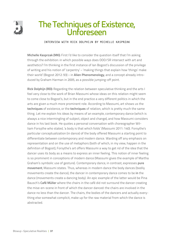

## The Techniques of Existence, Unforeseen

#### Interview with Rick Dolphijn by Michelle Kasprzak

**Michelle Kasprzak (MK):** First I'd like to consider the question itself that I'm asking through the exhibition: in which possible ways does OOO/SR intersect with art and aesthetics? I'm thinking in the first instance of Ian Bogost's discussion of the privilege of writing and his notion of 'carpentry' – 'making things that explain how 'things' make their world' (Bogost 2012: 93) – in **Alien Phenomenology**, and a concept already introduced by Graham Harman in 2005, as a possible jumping-off point.

**Rick Dolphijn (RD):** Regarding the relation between speculative thinking and the arts I feel very close to the work of Brian Massumi whose ideas on this relation might seem to come close to Bogost's, but in the end practice a very different politics in which the arts are given a much more prominent role. According to Massumi, art shows us the **techniques** of existence, or the **techniques** of relation, which is pretty much the same thing. Let me explain his ideas by means of an example, contemporary dance (which is always a nice intermingling of subject, object and change), and how Massumi considers dance in his last book. He quotes a personal conversation with choreographer William Forsythe who stated, 'a body is that which folds' (Massumi 2011: 140). Forsythe's particular conceptualization (in dance) of the body offered Massumi a starting point to differentiate between contemporary and modern dance. Warding off any emphasis on representation and on the use of metaphors (both of which, in my view, happen in the definition of Bogost), Forsythe's art offers Massumi a way to get rid of the idea that the dancer uses its body as a means to express an inner feeling. This notion of inner feeling is so prominent in conceptions of modern dance (Massumi gives the example of Martha Graham's symbolic use of gesture). Contemporary dance, in contrast, expresses **pure movement**, Massumi states. Thus, whereas in modern dance the body dances (bodily movements create the dance), the dancer in contemporary dance comes to be **in** the dance (movements create a dancing body). An epic example of the latter would be Pina Bausch's **Café Müller** where the chairs in the café did not surround the dancer creating the mise-en-scene in front of which the dancer danced: the chairs are involved in the dance no less than the dancer. The chairs, the bodies of the dancers and actually everything else somewhat complicit, make up for the raw material from which the dance is abstracted.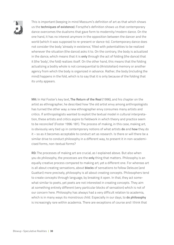

This is important (keeping in mind Massumi's definition of art as that which shows us the **techniques of existence**): Forsythe's definition shows us that contemporary dance overcomes the dualisms that gave form to modernity/modern dance. On the one hand, it has no interest anymore in the opposition between the dancer and the world (which it was supposed to re-present or dance-to). Contemporary dance does not consider the body 'already in existence,' filled with potentialities to be realized whenever the situation (the dance) asks it to. On the contrary, the body is actualized in the dance, which means that it is **only** through the act of folding (the dance) that it (the 'body', the fold) realizes itself. On the other hand, this means that the folding actualizing a bodily whole is not consequential to (Aristotelian) memory or another agency from which the body is organized in advance. Rather, the body (including the mind) happens in the fold, which is to say that it is only because of the folding that its unity appears.

**MK:** In Hal Foster's key text, **The Return of the Real** (1996), and his chapter on the artist as ethnographer, he described how 'the old artist envy among anthropologists has turned the other way: a new ethnographer envy consumes many artists and critics. If anthropologists wanted to exploit the textual model in cultural interpretation, these artists and critics aspire to fieldwork in which theory and practice seem to be reconciled' (Foster 1996: 181). The process of making, in this case, making art, is obviously very tied up in contemporary notions of what artists **do** and **how** they do it – so as it becomes acceptable to conduct art as research. Is there or will there be a similar drive to conduct philosophy in a different way, to present it in non-academicised forms, non-textual forms?

**RD:** The processes of making art are crucial, as I explained above. But also when you do philosophy, the processes are the **only** thing that matters. Philosophy is an equally creative process compared to making art, yet a different one. For whereas art is all about creating sensations, about **blocks** of sensations to follow Deleuze (and Guattari) more precisely, philosophy is all about creating concepts. Philosophers tend to create concepts through language, by breaking it open. In that, they act somewhat similar to poets, yet poets are not interested in creating concepts. They aim at something entirely different (very particular blocks of sensation) which is not of our concern here. Philosophy has always had a very difficult relation to academia, which is in many ways its monstrous child. Especially in our days, to **do philosophy** is increasingly rare within academia. There are exceptions of course and I think that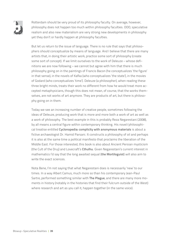

Rotterdam should be very proud of its philosophy faculty. On average, however, philosophy does not happen too much within philosophy faculties. OOO, speculative realism and also new materialism are very strong new developments in philosophy yet they don't or hardly happen at philosophy faculties.

But let us return to the issue of language. There is no rule that says that philosophers should conceptualize by means of language. And I believe that there are many artists that, in doing their artistic work, practice some sort of philosophy (create some sort of concept). If we limit ourselves to the work of Deleuze – whose definitions we are now following – we cannot but agree with him that there is much philosophy going on in the paintings of Francis Bacon (he conceptualizes 'the figure' in that sense), in the novels of Kafka (who conceptualizes 'the state'), in the movies of Godard (who conceptualizes 'time'). Deleuze (a philosopher), when reading these three bright minds, treats their work no different from how he would treat more accepted metaphysicians, though this does not mean, of course, that the works themselves, are not works of art anymore. They are products of art, but there is philosophy going on in them.

Today we see an increasing number of creative people, sometimes following the ideas of Deleuze, producing work that is more and more both a work of art as well as a work of philosophy. The best example in this is probably Reza Negarestani (2008), by all means a central figure within contemporary thinking. His novel/philosophical treatise entitled **Cyclonopedia: complicity with anonymous materials** is about a fictive archaeologist Dr. Hamid Parsani. It constructs a philosophy of oil and perhaps it is also at the same time a political manifesto that proclaims the liberation of the Middle East. For those interested, this book is also about Ancient Persian mysticism (the Cult of the Druj) and Lovecraft's **Cthulhu**. Given Negarestani's current interest in mathematics I'd say that the long awaited sequal (**the Mortiloguist**) will also aim to write the exact sciences.

Nota Bene, I'm not saying that what Negarestani does is necessarily 'new' to our times. In a way Albert Camus, much more so than his contemporary Jean-Paul Sartre, performed something similar with **The Plague**, and there are many more moments in history (notably in the histories that find their fulcrum outside of the West) where research and art as you call it, happen together (in the same voice).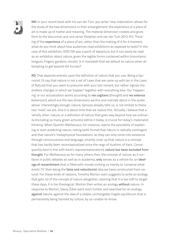

**MK:** In your recent book with Iris van der Tuin, you write: 'new materialism allows for the study of the two dimensions in their entanglement: the experience of a piece of art is made up of matter and meaning. The material dimension creates and gives form to the discursive, and vice versa' (Dolphijn and van der Tuin 2012: 91). Thinking of the **experience** of a piece of art, rather than the making of it for a moment, what do you think about how audiences read exhibitions as opposed to texts? In the case of this exhibition, OOO/SR was a point of departure, but it can easily be read as an exhibition about nature, given the legible forms contained within (mountains, tongues, fingers, gardens, clouds). Is it inevitable that we default to nature when attempting to get beyond the human?

**RD:** That depends entirely upon the definition of nature that you use. Being a Spinozist, I'd say that nature is not a set of Laws that we came up with (as in the Laws of Nature) that you seem to presume with your last remark, but rather signals the endless changes in which we 'happen' together with everything else. Our 'happening' or our actualization works according to **res cogitans** (thought) and **res extensa**  (extension), which are the two dimensions we (Iris and me) talk about in the quote above. Interestingly enough, nature, Spinoza already tells us, is not limited to these two 'modi'; we are. And it is about time that we realize this. Actually, I believe that a 'wholly other' nature, or a definition of nature that goes way beyond how we ordinarily (including so many green activists) define it today, is crucial for today's materialist thinking. When Quentin Meillassoux, for instance, rejects the possibility of explaining or even predicting nature, noting (with Hume) that nature is radically contingent and that nature's 'metaphysical foundations' as they can only come into existence through consciousness and language, smartly cover up that nature is a concept that has hardly been reconceptualized since the reign of dualism, of Kant. Consequently (and in line with Kant's representationalism), **nature has been excluded from thought**. For Meillassoux as for many others then, the concept of nature, as it surfaces in public debates as well as in academia, **only** serves as a vehicle for an **ideology of ressentiment** that is filled with morals inviting us merely to 'conserve what exists' ('it' then being the **false and reductionist** idea we have constructed from nature). For these kinds of reasons, Timothy Morton even suggests to write an ecology that gets rid of the concept of nature altogether, claiming that it is too soft to target these days, it is too theological. Morton then writes an ecology **without** nature. In response to Morton, Slavoj Žižek went even further and searched for an ecology **against** nature; against the idea of a stable, unchangable, fragile equilibrium that is permanently being harmed by culture, by us-unable-to-know.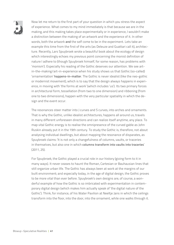

Now let me return to the first part of your question in which you stress the aspect of experience. What comes to my mind immediately is that because we are in the making, and this making takes place experimentally or in experience, I wouldn't make a distinction between the making of an artwork and the experience of it. In other words, both the artwork **and** the self come to be in the experiment. Lets take an example this time from the first of the arts (as Deleuze and Guattari call it), architecture. Recently, Lars Spuybroek wrote a beautiful book about the ecology of design which interestingly echoes my previous point concerning the monist definition of nature I adhere to (though Spuybroek himself, for some reason, has problems with 'monism'). Especially his reading of the Gothic deserves our attention. We see artin-the-making/art-in-experience when his study shows us that Gothic (so-called) 'ornamentation' **happens-in-matter**. The Gothic is never idealist (like the neo-gothic or modernist movement), which is to say that the design always happens in experience, in moving with 'the forms at work' (which includes 'us'). Its two primary forces in architectural form, tessellation (from two to one dimension) and ribboning (from one to two dimensions), happen with the very particular spatiality in which the design and the event occur.

The resonances steer matter into J curves and S curves, into arches and ornaments. That is why the Gothic, unlike idealist architectures, happens all around us, travels in many different unforeseen directions and can realize itself anytime, any place. To map vital Gothic energy is to realise the omnipresence of the curved gable as John Ruskin already put it in the 19th century. To study the Gothic is, therefore, not about analysing individual dwellings, but about mapping the resonance of disparates, as Spuybroek claims: 'It is not only a changefulness of columns, vaults, or traceries in themselves, but also one in which **columns transform into vaults into traceries**' (2011, 25).

For Spuybroek, the Gothic played a crucial role in our history (giving form to it in many ways). It never ceases to haunt the Roman, Cartesian or Bauhausian lines that still organize urban life. The Gothic has always been at work at the margins of our built environment; and especially today, in the age of digital design, the Gothic proves to be more vital than ever before. Spuybroek's own designs are, of course, a wonderful example of how the Gothic is so imbricated with experimentation in contemporary digital design (which makes him actually speak of 'the digital nature of the Gothic'). Think, for instance, of his Water Pavilion at Neeltje Jans in which the ceilings transform into the floor, into the door, into the ornament, while one walks through it.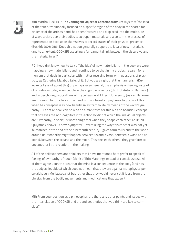

**MK:** Martha Buskirk in **The Contingent Object of Contemporary Art** says that 'the idea of the touch, traditionally focused on a specific region of the body in the search for evidence of the artist's hand, has been fractured and displaced into the multitude of ways artists use their bodies to act upon materials and also turn the process of representation back upon themselves to record traces of their physical presence' (Buskirk 2005: 256). Does this notion generally support the idea of new materialism (and to an extent, OOO/SR) asserting a fundamental link between the discursive and the material in art?

**RD:** I wouldn't know how to talk of 'the idea' of new materialism. In the book we were mapping a new materialism, and I continue to do that in my articles. I search for a monism that deals in particular with matter receiving form, with questions of plasticity as Catherine Malabou talks of it. But you are right that the mannerism (Deleuze talks a lot about this) or perhaps even general, the emphasis on feeling instead of on ratio as today even people in the cognitive sciences (think of Antonio Damasio) and in psycholinguistics (think of my colleague at Utrecht University Jos van Berkum) are in search for this, lies at the heart of my interests. Spuybroek too, talks of this when he conceptualizes how beauty gives form to life by means of the word 'sympathy'. His entire book can be read as a manifesto for this old and beautiful concept that stresses the non-cognitive intra-action by dint of which the individual objects are. Sympathy, in short, 'is what things feel when they shape each other' (2011, 9). Spuybroek shows us how 'sympathy' – revitalizing the way this concept was not yet 'humanized' at the end of the nineteenth century – gives form to us and to the world around us: sympathy might happen between us and a vase, between a wasp and an orchid, between the oceans and the moon. They feel each other… they give form to one another in the relation, in the making.

All of the philosophers and thinkers that I have mentioned here prefer to speak of feeling, of sympathy, of touch (think of Erin Manning) instead of consciousness. All of them agree upon the idea that the mind is a consequence of the body (and has the body as its object) which does not mean that they are against metaphysics per se (although Meillassoux is), but rather that they would never cut it loose from the physics, from the bodily movements and modifications that cause it.

**MK:** From your position as a philosopher, are there any other points and issues with the interrelation of OOO/SR and art and aesthetics that you think are key to consider?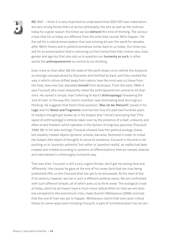

**RD:** Well… I think it is very important to understand that OOO/SR/new materialism are very strong forces that cut across philosophy, the arts as well as the sciences today for a good reason: the times we live **demand** this kind of thinking. The various crises that hit us today are different from the ones that caused '68 to happen. Yet the call for a radical emancipation that was echoing all over the world for decades after '68 (in theory and in politics) somehow comes back to us today. Our times too ask for an emancipation that is removing us from hierarchies that involve race, class, gender and age but that also ask us to question our **humanity as such**, in other words the **anthropocentrism** so central to our thinking.

Even more so than after '68, the state of the earth draws us to rethink the dualisms so strongly conceptualized by Descartes and fortified by Kant, and they marked the way in which culture drifted away from nature, how the mind was cut loose from the body, how man has alienated **himself** from technique. From the early 1960s it was Foucault who most eloquently noted the anthropocentrism central to all dualisms. He named it simply 'man' (referring to Kant's **Anthropology**) foreseeing the 'end of man' or the way this 'recent invention' was dominating (and blurring) our thinking. He suggests that Kant's final question, '**Was ist der Mensch?**', posed in his **Logic** and his **Notes and Fragments** summarizes how the past two hundred years of modern thought got locked up in his Subject (the 'I think') concluding that '[The space of anthropology] is entirely taken over by the presence of a deaf, unbound, and often errant freedom which operates in the domain of originary passivity' (Foucault 2008: 39). In his later writings, Foucault showed how this political ecology slowly but steadily created objects (prisons, schools, barracks, factories) in order to install the Subject (the object of thought), to serve its existence. Foucault in the end is not pushing us to 'question authority' but rather to 'question reality', as reality had been created and molded according to systems of differentiations that we named, ordered and internalized in a thoroughly humanist way.

That was then. Foucault is still a very urgent thinker, don't get me wrong here, but 'differently'; the classes he gave at the end of his career (and that are now being published) offer us this Foucault that has yet to be discovered. At the start of the 21st century, however, we live in such a different political arena. We are confronted with such different threats, all of which asks us to think anew. The ecological crises of today, which by all means have a much more radical effect on how we will soon live compared to the economical crisis, make Quentin Meillassoux (2006) conclude that the end of man has yet to happen. Meillassoux claims that even post-critical theory (in some ways even including Foucault, is part of 'correlationalism' (as he con-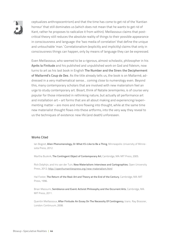

ceptualizes anthropocentrism) and that the time has come to get rid of the 'Kantian horreur' that still dominates us (which does not mean that he wants to get rid of Kant, rather he proposes to radicalize it from within). Meillassoux claims that postcritical theory still reduces the absolute reality of things to their possible appearance in consciousness and language: the 'two media of correlation' that define the unique and untouchable 'man.' Correlationalism (explicitly and implicitly) claims that only in consciousness things can happen, only by means of language they can be expressed.

Even Meillassoux, who seemed to be a rigorous, almost scholastic, philosopher in his **Après la Finitude** and his published and unpublished work on God and fideism, now turns to art as his last book in English **The Number and the Siren: the Decipherment of Mallarmé's Coup de Des**. As the title already tells us, the book is on Mallarmé, addressed in a very mathematical sense… coming close to numerology even. Beyond this, many contemporary scholars that are involved with new materialism feel an urge to study contemporary art. Bioart, think of Natalie Jeremijenko, is of course very popular for those interested in rethinking nature, but actually all performance art and installation art – art forms that are all about making and experiencing/experimenting matter – are more and more flowing into thought, while at the same time new materialist thought flows into these artforms, into the very way they reveal to us the techniques of existence: new life (and death) unforeseen.

#### Works Cited

Ian Bogost, **Alien Phenomenology, Or What It's Like to Be a Thing**, Minneapolis: University of Minnesota Press, 2012.

Martha Buskirk, **The Contingent Object of Contemporary Art**, Cambridge, MA: MIT Press, 2005.

Rick Dolphijn, and Iris van der Tuin, **New Materialism: Interviews and Cartographies**, Open University Press, 2012; <http://openhumanitiespress.org/new-materialism.html>

Hal Foster, **The Return of the Real: Art and Theory at the End of the Century**, Cambridge, MA: MIT Press, 1996.

Brian Massumi, **Semblance and Event: Activist Philosophy and the Occurrent Arts**, Cambridge, MA: MIT Press, 2011.

Quentin Meillassoux, **After Finitude: An Essay On The Necessity Of Contingency**, trans. Ray Brassier, London: Continuum, 2008.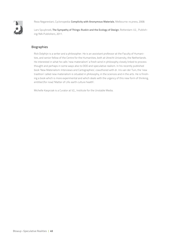

Reza Negarestani, Cyclonopedia: **Complicity with Anonymous Materials**, Melbourne: re.press, 2008.

Lars Spuybroek, **The Sympathy of Things: Ruskin and the Ecology of Design**, Rotterdam: V2\_ Publishing/NAi Publishers, 2011.

#### Biographies

Rick Dolphijn is a writer and a philosopher. He is an assistant professor at the Faculty of Humanities, and senior fellow of the Centre for the Humanities, both at Utrecht University, the Netherlands. He interested in what he calls 'new materialism' a fresh wind in philosophy closely linked to process thought and perhaps in some ways also to OOO and speculative realism. In his recently published book 'New Materialism: Interviews and Cartographies', coauthored with dr. Iris van der Tuin, the 'new tradition' called new materialism is situated in philosophy, in the sciences and in the arts. He is finishing a book which is more experimental and which deals with the urgency of this new form of thinking, entitled (for now) 'Matter of Life: earth culture health'.

Michelle Kasprzak is a Curator at V2\_ Institute for the Unstable Media.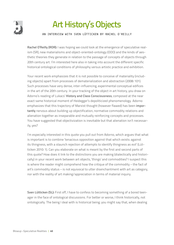

## Art History's Objects

#### An Interview with Sven Lütticken by Rachel O'Reilly

**Rachel O'Reilly (ROR):** I was hoping we could look at the emergence of speculative realism (SR), new materialisms and object-oriented-ontology (OOO) and the kinds of aesthetic theories they generate in relation to the passage of concepts of objects through 20th century art. I'm interested here also in taking into account the different specific historical ontological conditions of philosophy versus artistic practice and exhibition.

Your recent work emphasizes that it is not possible to conceive of materiality (including objects) apart from processes of dematerialization and abstraction (2008: 101). Such processes have very dense, inter-influencing, experimental conceptual edifices in the art of the 20th century. In your tracking of the object in art history, you draw on Adorno's reading of Lukacs' **History and Class Consciousness**, composed at the near exact same historical moment of Heidegger's depoliticized phenomenology. Adorno emphasizes that this trajectory of Marxist thought (however flawed) has been **importantly** nervous about building up objectification, normative commodity relations and alienation together as inseparable and mutually reinforcing concepts and processes. You have suggested that objectivization is inevitable but that alienation isn't necessarily, yes?

I'm especially interested in this quote you pull out from Adorno, which argues that what is important is to combine 'tenacious opposition against that which exists: against its thingness, with a staunch rejection of attempts to identify thingness as evil' (Lütticken 2010: 1). Can you elaborate on what is meant by the first and second parts of this quote? How does it link to the distinctions you are making (dialectically and historically) in your recent work between art objects, 'things' and commodities? I suspect this is where the reader might comprehend how the critique of the commodity – the fact of art's commodity status – is not equivocal to utter disenchantment with art as category, nor with the reality of art making/appreciation in terms of material inquiry.

**Sven Lütticken (SL):** First off, I have to confess to becoming something of a bored teenager in the face of ontological discussions. For better or worse, I think historically, not ontologically. The being I deal with is historical being; you might say that, when dealing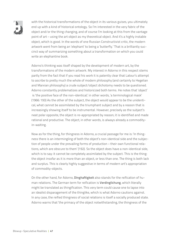

with the historical transformations of the object in its various guises, you ultimately end up with a kind of historical ontology. So I'm interested in the very fabric of the object and/or the thing changing, and of course I'm looking at this from the vantage point of art – using the art object as my theoretical object. And it's a highly instable object, which is good. In the words of one Russian Constructivist critic, the modern artwork went from being an 'elephant' to being a 'butterfly.' That is a brilliantly succinct way of summarizing something about a transformation on which you could write an elephantine book.

Adorno's thinking was itself shaped by the development of modern art, by the transformations of the modern artwork. My interest in Adorno in this respect stems partly from the fact that if you read his work it is patently clear that Latour's attempt to ascribe to pretty much the whole of modern philosophy (and certainly to Hegelian and Marxian philosophy) a crude subject/object dichotomy needs to be questioned. Adorno constantly problematizes and historicized both terms. He notes that 'object' is 'the positive face of the non-identical;' in other words, 'a terminological mask' (1966: 193) As the other of the subject, the object would appear to be the unidentical, what cannot be assimilated by the triumphant subject and by a reason that is increasingly showing itself to be instrumental. However, precisely as the subject's neat polar opposite, the object is re-appropriated by reason; it is identified and made rational and productive. The object, in other words, is always already a commodityin-waiting.

Now as for the thing, for thingness in Adorno, a crucial passage for me is: 'In thingness there is an intermingling of both the object's non-identical side and the subjection of people under the prevailing forms of production – their own functional relations, which are obscure to them' (192). So the object does have a non-identical side, which is to say: it cannot be completely assimilated by the subject. This is the thing: the object insofar as it is more than an object, or less than one. The thing is both lack and surplus. This is clearly highly suggestive in terms of modern art's appropriation of commodity-objects.

On the other hand, for Adorno, **Dinghaftigkeit** also stands for the reification of human relations. The German term for reification is **Verdinglichung**, which literally might be translated as thingification. This very term could cause one to lapse into an idealist disparagement of the thinglike, which is what Adorno cautions against. In any case, the reified thingness of social relations is itself a socially produced state. Adorno warns that 'the primacy of the object notwithstanding, the thingness of the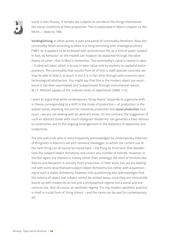

world is also illusory. It tempts the subjects to ascribe to the things themselves the social conditions of their production. This is elaborated in Marx's chapter on the fetish …' (Adorno 190).

**Verdinglichung**, in other words, is part and parcel of commodity fetishism. Now, the commodity fetish according to Marx is a thing brimming with 'theological whims' (1867: 4). It appears to be endowed with autonomous life, as a kind of quasi-subject. In fact, its 'behavior' on the market can however be explained through the labor theory of value – this is Marx's contention. The commodity's value is rooted in labor – in abstract labor, which is to say in labor value sold by workers to capitalist entrepreneurs. The commodity that results from all of this is itself pseudo-concrete: we may be able to hold it, to touch it, but it is in fact shot through with economic (and technological) abstraction. You might say that this is the modern object par excellence: it has been assimilated and 'subjectivized' through instrumental reason. W.J.T. Mitchell speaks of the 'ordered ranks of objecthood' (2005: 112).

I want to argue that while contemporary 'thing theory' responds to a genuine shift in theory corresponding to a shift in the mode of production – of production in the widest sense, standing not just for industrial production but **social production** tout court – we are not dealing with an abstract break. On the contrary: the suggestion of such an abstract break with much-maligned 'modernity' can generate a fatal oblivion to continuities and to the ongoing entanglement in the dialectics of objectivity and subjectivity.

The one precursor who is most frequently acknowledged by contemporary theorists of thingness is Adorno's old arch nemesis, Heidegger, to whom the current use of the term thing can of course be traced back – the thing as third term that destabilizes the subject/object dichotomy and covers any number of hybrids. However, to me (but again, my interest is history rather than ontology), the work of thinkers like Adorno and Benjamin is actually more productive. In their work, too, we are dealing not with some essentialized subject/object dichotomy but rather with a questioning of such a stable dichotomy; however, this questioning also acknowledges that the notions of object and subject cannot be wished away, since they are intrinsically bound up with modernity as not just a philosophical regime, but a social and economical one. And, of course, an aesthetic regime. For me, modern aesthetic practice is itself a crucial form of 'thing theory' – and the same can be said for contemporary art.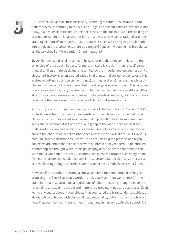

**ROR:** If 'speculative realism' is necessary, according to Gironi, it is because it 'cautiously moves (conforming to the Marxian-Engelsian lesson) between simplistic (and, today, plainly unscientific) reductionist excesses on the one hand and the yielding of precious terrain to the idealism that lurks in an excessively logico-rationalist understanding of 'matter' on the other' (2012: 380). Is it so easy to bring this problematic into art given the distinctness of art as category? I guess my question is, broadly, can art history shed light the 'caution' Gironi mentions?

**SL:** Art history as a discipline tends to be so cautious that it never makes it to the other side of the street! But yes, for me, art history is crucial in that is itself something of an illegitimate discipline, one tainted by the impurity and opaqueness of its object –art history is often treated with a kind of paternalistic benevolence (and this is already putting a positive spin on things) by 'master disciplines' such as philosophy and semiotics or literary theory. But in a strange way, even though the discipline is ever more marginalized, it is also triumphant – despite itself, one might say. After all, art history was always a discipline of unstable subject-objects, of visual and material facts that were also historical acts, of things that were actants.

Art history is one of three main manifestations of the 'aesthetic turn' around 1800. In the late eighteenth and early nineteenth centuries, three interconnected disciplines came to constitute art as an essential object with which the modern bourgeois subject assured itself of its tenuous grasp of the world: philosophical aesthetics, art criticism and art history. All these forms of aesthetic discourse revolve around the obscure object of aesthetic desire that is the work of art – in its various medium-specific incarnations. Literature and music held the promise of a highly subjective art, and in that sense they were quintessentially modern; Taine phrased a commonplace thought when, in his philosophy of art, he stated that music 'convient mieux que tout autre art pur exprimer les pensées flottantes, les songes sans formes, les desires sans objet et sans limite…(better adapted than any other art to express floating thoughts, formless dreams, objectless limitless desires…)' (1875: 1)

However, if the aesthetic became a crucial sphere of modern bourgeois thought, promising – in Terry Eagleton's words – a 'residually common world' (1990) in the era of inhumane abstractions and divisions of labour, aesthetic thought needed to return time and again to visible and material objects: paintings and sculptures. Such works of visual art constituted objects that countered the transcendental subject of idealist philosophy not with blunt and dead materiality, but with a form of objecthood that seemed itself transformed through and in harmony with the subject. Art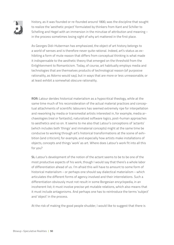

history, as it was founded or re-founded around 1800, was the discipline that sought to realize the 'aesthetic project' formulated by thinkers from Kant and Schiller to Schelling and Hegel with an immersion in the minutiae of attribution and meaning – in the process sometimes losing sight of why art mattered in the first place.

As Georges Didi-Huberman has emphasized, the object of art history belongs to a world of senses and is therefore never quite rational. Indeed, art's status as exhibiting a form of mute reason that differs from conceptual thinking is what made it indispensable to the aesthetic theory that emerged on the threshold from the Enlightenment to Romanticism. Today, of course, art habitually employs media and technologies that are themselves products of technological reason (of purposive rationality, as Adorno would say), but in ways that are more or less unreasonable, or at least exhibit a somewhat obscure rationality.

**ROR:** Latour derides historical materialism as a hypocritical theology, while at the same time much of his reconsideration of the actual material practices and conceptual attachments of scientific labourers has seemed extremely ripe for interpellation and reworking by media or transmedial artists interested in, for example, media archaeologies (real or fantastic), naturalized software logics, post-human approaches to aesthetics and so on. It seems to me also that Latour's conceptions of 'actants' (which includes both 'things' and immaterial concepts) might at the same time be conducive to working through art's historical transformations at the scene of exhibition (and criticism), for example, and especially how artists make installations of objects, concepts and things 'work' as art. Where does Latour's work fit into all this for you?

**SL:** Latour's development of the notion of the actant seems to be to be one of the most productive aspects of his work, though I would say that there's a whole labor of differentiation ahead of us. I'm afraid this will have to amount to some form of historical materialism – or perhaps one should say dialectical materialism – which articulates the different forms of agency involved and their interrelations. Such a differentiation obviously must not result in some Borgesian encyclopedia, in an incoherent list; it must involve precise yet mutable relations, which also means that it must include antagonisms. And perhaps one has to reintroduce the terms 'subject' and 'object' in the process.

At the risk of making the good people shudder, I would like to suggest that there is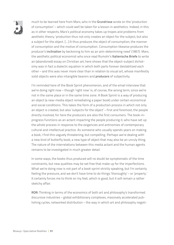

much to be learned here from Marx, who in the **Grundrisse** wrote on the 'production of consumption' – which could well be taken for a lesson in aesthetics. Indeed, in this as in other respects, Marx's political economy takes up tropes and problems from aesthetic theory: 'production thus not only creates an object for the subject, but also a subject for the object. […] It thus produces the object of consumption, the manner of consumption and the motive of consumption. Consumption likewise produces the producer's **inclination** by beckoning to him as an aim-determining need' (1857). Marx, the aesthetic political economist who once read Rumohr's **Italienische Briefe** to write an (abandoned) essay on Christian art, here shows that the object-subject dichotomy was in fact a dialectic equation in which both parts forever destabilized each other – and this was never more clear than in relation to visual art, whose manifestly solid objects were also intangible bearers and **producers** of subjectivity.

I'm reminded here of the Book Sprint phenomenon, and of the email interview that we're doing right now – though 'right now' is, of course, the wrong term, since we're not in the same place or in the same time zone. A Book Sprint is a way of producing an object (a new-media object remediating a paper book) under certain economical and social conditions. This takes the form of a production process in which not only an object is created, but also 'subjects for the object' – first and foremost, the people directly involved, for here the producers are also the first consumers. The book-inprogress functions as an actant impacting the people producing it, who have set up the whole process in response to the exigencies and antinomies of contemporary cultural and intellectual practice. As someone who usually spends years on making a book, I find this vaguely threatening, but compelling. Perhaps we're dealing with a new kind of butterfly book, a new type of object that may also be an unruly thing. The nature of the interrelations between this media actant and the human agents remains to be investigated in much greater detail.

In some ways, the books thus produced will no doubt be symptomatic of the time constraints, but new qualities may be set free that make up for the imperfections. What we're doing now is not part of a book sprint strictly speaking, but I'm certainly feeling the pressure, and we don't have time to do things 'thoroughly' – or 'properly.' It certainly forces me to think on my feet, which is good, but it will remain a rather sketchy affair.

**ROR:** Thinking in terms of the economics of both art and philosophy's transformed discursive industries – global exhibitionary complexes, massively accelerated publishing cycles, networked distribution – the way in which art and philosophy negoti-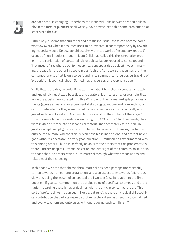

ate each other is changing. Or perhaps the industrial links between art and philosophy in the form of **publicity**, shall we say, have always been this same problematic, at least since the 60s.

Either way, it seems that curatorial and artistic industriousness can become somewhat awkward when it assumes itself to be invested in contemporaneity by reworking (especially post-Deleuzian) philosophy within art works of exemplary 'reduced' scenes of non-linguistic thought. Liam Gillick has called this the 'singularity' problem – the conjunction of curatorial-philosophical labour reduced to concepts and 'instances' of art, where each (philosophical concept, artistic object) invest in making the case for the other in a too-circular fashion. At its worst it assumes that the contemporaneity of art is only to be found in its symmetrical 'progressive' tracking of 'properly' philosophical labour. Sometimes this verges on sycophancy even.

While that is the risk, I wonder if we can think about how these issues are critically and knowingly negotiated by artists and curators. It's interesting, for example, that while the artists were curated into this V2 show for their already-displayed investments (across an oeuvre) in experimentalist ecological inquiry and non-anthropocentric materialisms, they were invited to create new works that specifically engaged with Levi Bryant and Graham Harman's work in the context of the larger 'turn' towards so-called anti-correlationism thought in OOO and SR. In other words, they were invited to remediate philosophical **material** (not necessarily to 'do' non-linguistic non-philosophy) for a strand of philosophy invested in thinking matter from outside the human. Whether this is even possible in institutionalized art that never goes without a spectator is a very good question – Smithson has experimented with this among others – but it is perfectly obvious to the artists that this problematic is there. Further, despite curatorial selection and oversight of the commission, it is also the case that the artists rework such material through whatever associations and relations of their choosing.

In this case we note that philosophical material has been perhaps unpredictably turned towards humour and profanation, and also dialectically towards failure, possibly this being the lesson of conceptual art. I wonder (also in relation to the first question) if you can comment on the surplus value of specifically, comedy and profanation, regarding these kinds of dealings with the ontic in contemporary art. This sort of profane tinkering can seem like a great relief. Is there any radical philosophical contribution that artists make by profaning their disinvestment in systematized and overly taxonomized ontologies, without reducing such to nihilism?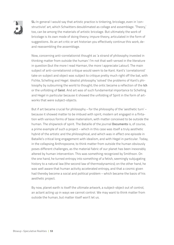

**SL:** In general I would say that artistic practice is tinkering, bricolage, even in 'constructivist' art, which Schwitters desublimated as collage and assemblage. 'Theory,' too, can be among the materials of artistic bricolage. But ultimately the work of bricolage is its own mode of doing theory; impure theory, articulated in the form of suggestions. As an art critic or art historian you effectively continue this work, deand reassembling the assemblage.

Now, concerning anti-correlationist thought as 'a strand of philosophy invested in thinking matter from outside the human:' I'm not that well-versed in the literature in question (but the more I read Harman, the more I appreciate Latour). The main subject of anti-correlationist critique would seem to be Kant. Kant's 'correlationist' take on subject and object was subject to critique pretty much right off the bat, with Fichte, Schelling and Hegel. Idealist philosophy 'solved' the problems of Kant's philosophy by subsuming the world to thought; the ontic became a reflection of the **Ich** or the unfolding of **Geist**. And art was of such fundamental importance to Schelling and Hegel in particular because it showed the unfolding of Spirit in the form of artworks that were subject-objects.

But if art became crucial for philosophy – for the philosophy of the 'aesthetic turn' – because it showed matter to be imbued with spirit, modern art engaged in a flirtation with various forms of base materialism, with matter conceived to be outside the human. The shipwreck of spirit. The Bataille of the journal **Documents** is, of course, a prime example of such a project – which in this case was itself a truly aesthetic hybrid of the artistic and the philosophical, and which was in effect one episode in Bataille's critical long engagement with idealism, and with Hegel in particular. Today, in the collapsing Anthropocene, to think matter from outside the human obviously poses different challenges, as the material fabric of our planet has been inexorably altered by human intervention. This was something recognized by Smithson. On the one hand, he turned entropy into something of a fetish, seemingly subjugating history to a natural law (the second law of thermodynamics); on the other hand, he was well aware that human activity accelerated entropy, and that a cosmic given had thereby become a social and political problem – which became the basis of his aesthetic project.

By now, planet earth is itself the ultimate artwork, a subject-object out of control, an actant acting up in ways we cannot control. We may want to think matter from outside the human, but matter itself won't let us.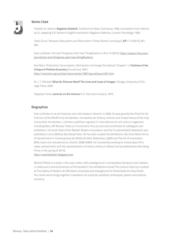

#### Works Cited

Theodor W. Adorno, **Negative Dialektik**, Frankfurt am Main: Suhrkamp, 1966; translations from Adorno by SL, adapting E.B. Ashton's English translation, Negative Dialectics, London: Routledge, 1990.

Fabio Gironi, 'Between Naturalism and Rationalism: A New Realist Landscape', **JCR** 11.3 (2012): 361- 387.

Sven Lütticken, 'Art and Thingness, Part Two: Thingification' e-flux 15 (2010); [http://www.e-flux.com/](http://www.e-flux.com/journal/art-and-thingness-part-two-thingification/) [journal/art-and-thingness-part-two-thingification/](http://www.e-flux.com/journal/art-and-thingness-part-two-thingification/)

Karl Marx, 'Production, Consumption, Distribution, Exchange (Circulation),' Chapter 1 of **Outlines of the Critique of Political Economy** (Grundrisse), 1857; <http://marxists.org/archive/marx/works/1857/grundrisse/ch01.htm>

W. J. T. Mitchell, **What Do Pictures Want? The Lives and Loves of Images**, Chicago: University of Chicago Press, 2005.

Hippolyte Taine, **Lectures on Art: Volume 1**, H. Holt and company, 1875.

#### Biographies

Sven Lütticken is an art historian and critic based in Utrecht. In 2004, he was granted the Prize for Art Criticism of the BKVB fund, Amsterdam. He teaches art history, criticism and media theory at the Vrije Universiteit, Amsterdam. Lütticken publishes regularly in international art and culture magazines including New Left Review, Texte zur Kunst and e-flux journal, and contributes to catalogues and exhibitions. His book, Idols of the Market: Modern Iconoclasm and the Fundamentalist Spectacle, was published in June 2009 by Sternberg Press. He has also curated the exhibitions Life, Once More: forms of reenactment in Contemporary Art (Witte de With, Rotterdam, 2005) and The Art of Iconoclasm (BAK, basis voor actuele kunst, Utrecht, 2008/2009). He is presently working on a book about film, video, reenactment, and the representation of history, History in Motion (to be published by Sternberg Press in the spring of 2013).

<http://svenlutticken.blogspot.com>

Rachel O'Reilly is a writer, critic and curator with a background in comparative literature, and masters in media and culture (University of Amsterdam). Her exhibitions include The Leisure Class (co-curator) at The Gallery of Modern Art (Brisbane, Australia) and Videoground for Multimedia Art Asia Pacific. Her recent work brings together installation art practices, aesthetic philosophy, poetics and political economy.